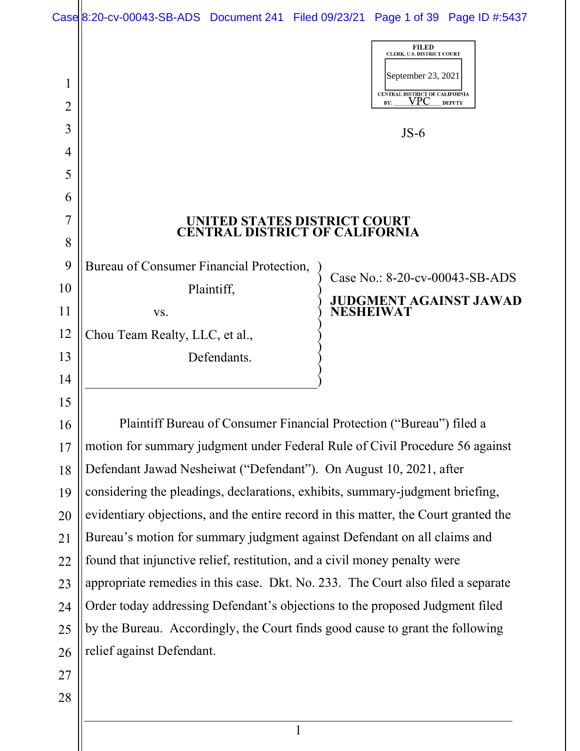|        | Case 8:20-cv-00043-SB-ADS Document 241 Filed 09/23/21 Page 1 of 39 Page ID #:5437   |                  |                                                                                                                  |                                |
|--------|-------------------------------------------------------------------------------------|------------------|------------------------------------------------------------------------------------------------------------------|--------------------------------|
| 1<br>2 |                                                                                     |                  | <b>FILED</b><br>CLERK, U.S. DISTRICT COURT<br>September 23, 2021<br>CENTRAL DISTRICT OF CALIFORNIA<br>VPC<br>BY: | <b>DEPUTY</b>                  |
| 3      |                                                                                     |                  | $JS-6$                                                                                                           |                                |
| 4      |                                                                                     |                  |                                                                                                                  |                                |
| 5      |                                                                                     |                  |                                                                                                                  |                                |
| 6      |                                                                                     |                  |                                                                                                                  |                                |
| 7      | UNITED STATES DISTRICT COURT<br><b>CENTRAL DISTRICT OF CALIFORNIA</b>               |                  |                                                                                                                  |                                |
| 8      |                                                                                     |                  |                                                                                                                  |                                |
| 9      | Bureau of Consumer Financial Protection,                                            |                  |                                                                                                                  | Case No.: 8-20-cv-00043-SB-ADS |
| 10     | Plaintiff,                                                                          |                  |                                                                                                                  | <b>JUDGMENT AGAINST JAWAD</b>  |
| 11     | VS.                                                                                 | <b>NESHEIWAT</b> |                                                                                                                  |                                |
| 12     | Chou Team Realty, LLC, et al.,                                                      |                  |                                                                                                                  |                                |
| 13     | Defendants.                                                                         |                  |                                                                                                                  |                                |
| 14     |                                                                                     |                  |                                                                                                                  |                                |
| 15     |                                                                                     |                  |                                                                                                                  |                                |
| 16     | Plaintiff Bureau of Consumer Financial Protection ("Bureau") filed a                |                  |                                                                                                                  |                                |
| 17     | motion for summary judgment under Federal Rule of Civil Procedure 56 against        |                  |                                                                                                                  |                                |
| 18     | Defendant Jawad Nesheiwat ("Defendant"). On August 10, 2021, after                  |                  |                                                                                                                  |                                |
| 19     | considering the pleadings, declarations, exhibits, summary-judgment briefing,       |                  |                                                                                                                  |                                |
| 20     | evidentiary objections, and the entire record in this matter, the Court granted the |                  |                                                                                                                  |                                |
| 21     | Bureau's motion for summary judgment against Defendant on all claims and            |                  |                                                                                                                  |                                |
| 22     | found that injunctive relief, restitution, and a civil money penalty were           |                  |                                                                                                                  |                                |
| 23     | appropriate remedies in this case. Dkt. No. 233. The Court also filed a separate    |                  |                                                                                                                  |                                |
| 24     | Order today addressing Defendant's objections to the proposed Judgment filed        |                  |                                                                                                                  |                                |
| 25     | by the Bureau. Accordingly, the Court finds good cause to grant the following       |                  |                                                                                                                  |                                |
| 26     | relief against Defendant.                                                           |                  |                                                                                                                  |                                |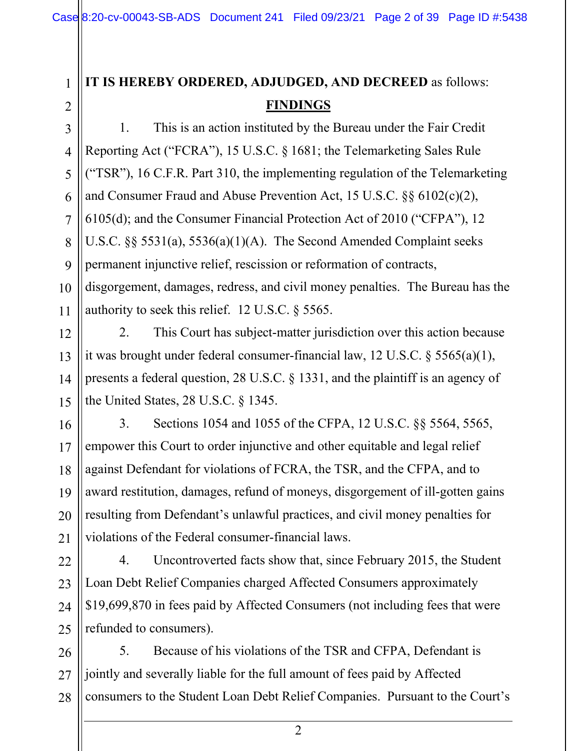# **IT IS HEREBY ORDERED, ADJUDGED, AND DECREED** as follows: **FINDINGS**

1. This is an action instituted by the Bureau under the Fair Credit Reporting Act ("FCRA"), 15 U.S.C. § 1681; the Telemarketing Sales Rule ("TSR"), 16 C.F.R. Part 310, the implementing regulation of the Telemarketing and Consumer Fraud and Abuse Prevention Act, 15 U.S.C. §§ 6102(c)(2), 6105(d); and the Consumer Financial Protection Act of 2010 ("CFPA"), 12 U.S.C. §§ 5531(a), 5536(a)(1)(A). The Second Amended Complaint seeks permanent injunctive relief, rescission or reformation of contracts, disgorgement, damages, redress, and civil money penalties. The Bureau has the authority to seek this relief. 12 U.S.C. § 5565.

2. This Court has subject-matter jurisdiction over this action because it was brought under federal consumer-financial law, 12 U.S.C. § 5565(a)(1), presents a federal question, 28 U.S.C. § 1331, and the plaintiff is an agency of the United States, 28 U.S.C. § 1345.

3. Sections 1054 and 1055 of the CFPA, 12 U.S.C. §§ 5564, 5565, empower this Court to order injunctive and other equitable and legal relief against Defendant for violations of FCRA, the TSR, and the CFPA, and to award restitution, damages, refund of moneys, disgorgement of ill-gotten gains resulting from Defendant's unlawful practices, and civil money penalties for violations of the Federal consumer-financial laws.

4. Uncontroverted facts show that, since February 2015, the Student Loan Debt Relief Companies charged Affected Consumers approximately \$19,699,870 in fees paid by Affected Consumers (not including fees that were refunded to consumers).

28 5. Because of his violations of the TSR and CFPA, Defendant is jointly and severally liable for the full amount of fees paid by Affected consumers to the Student Loan Debt Relief Companies. Pursuant to the Court's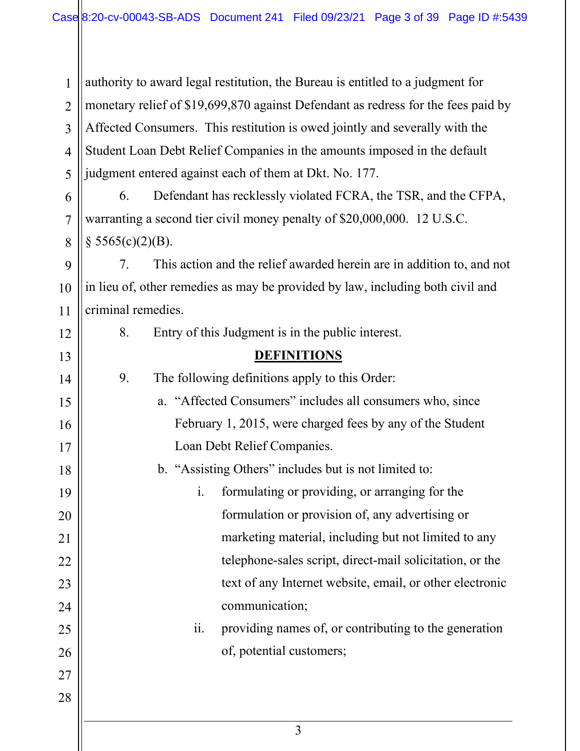3 1 2 3 4 5 6 7 8 9 10 11 12 13 14 15 16 17 18 19 20 21 22 23 24 25 26 27 28 authority to award legal restitution, the Bureau is entitled to a judgment for monetary relief of \$19,699,870 against Defendant as redress for the fees paid by Affected Consumers. This restitution is owed jointly and severally with the Student Loan Debt Relief Companies in the amounts imposed in the default judgment entered against each of them at Dkt. No. 177. 6. Defendant has recklessly violated FCRA, the TSR, and the CFPA, warranting a second tier civil money penalty of \$20,000,000. 12 U.S.C.  $§$  5565(c)(2)(B). 7. This action and the relief awarded herein are in addition to, and not in lieu of, other remedies as may be provided by law, including both civil and criminal remedies. 8. Entry of this Judgment is in the public interest. **DEFINITIONS** 9. The following definitions apply to this Order: a. "Affected Consumers" includes all consumers who, since February 1, 2015, were charged fees by any of the Student Loan Debt Relief Companies. b. "Assisting Others" includes but is not limited to: i. formulating or providing, or arranging for the formulation or provision of, any advertising or marketing material, including but not limited to any telephone-sales script, direct-mail solicitation, or the text of any Internet website, email, or other electronic communication; ii. providing names of, or contributing to the generation of, potential customers;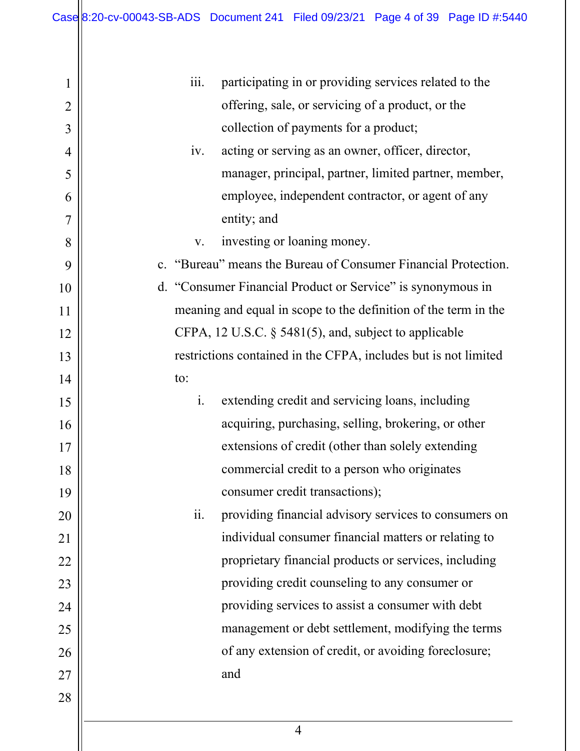| $\mathbf 1$    | <i>iii.</i><br>participating in or providing services related to the |  |  |  |
|----------------|----------------------------------------------------------------------|--|--|--|
| $\overline{2}$ | offering, sale, or servicing of a product, or the                    |  |  |  |
| 3              | collection of payments for a product;                                |  |  |  |
| 4              | acting or serving as an owner, officer, director,<br>iv.             |  |  |  |
| 5              | manager, principal, partner, limited partner, member,                |  |  |  |
| 6              | employee, independent contractor, or agent of any                    |  |  |  |
| 7              | entity; and                                                          |  |  |  |
| 8              | investing or loaning money.<br>V.                                    |  |  |  |
| 9              | c. "Bureau" means the Bureau of Consumer Financial Protection.       |  |  |  |
| 10             | d. "Consumer Financial Product or Service" is synonymous in          |  |  |  |
| 11             | meaning and equal in scope to the definition of the term in the      |  |  |  |
| 12             | CFPA, 12 U.S.C. $\S$ 5481(5), and, subject to applicable             |  |  |  |
| 13             | restrictions contained in the CFPA, includes but is not limited      |  |  |  |
| 14             | to:                                                                  |  |  |  |
| 15             | i.<br>extending credit and servicing loans, including                |  |  |  |
| 16             | acquiring, purchasing, selling, brokering, or other                  |  |  |  |
| 17             | extensions of credit (other than solely extending                    |  |  |  |
| 18             | commercial credit to a person who originates                         |  |  |  |
| 19             | consumer credit transactions);                                       |  |  |  |
| 20             | ii.<br>providing financial advisory services to consumers on         |  |  |  |
| 21             | individual consumer financial matters or relating to                 |  |  |  |
| 22             | proprietary financial products or services, including                |  |  |  |
| 23             | providing credit counseling to any consumer or                       |  |  |  |
| 24             | providing services to assist a consumer with debt                    |  |  |  |
| 25             | management or debt settlement, modifying the terms                   |  |  |  |
| 26             | of any extension of credit, or avoiding foreclosure;                 |  |  |  |
| 27             | and                                                                  |  |  |  |
| 28             |                                                                      |  |  |  |
|                |                                                                      |  |  |  |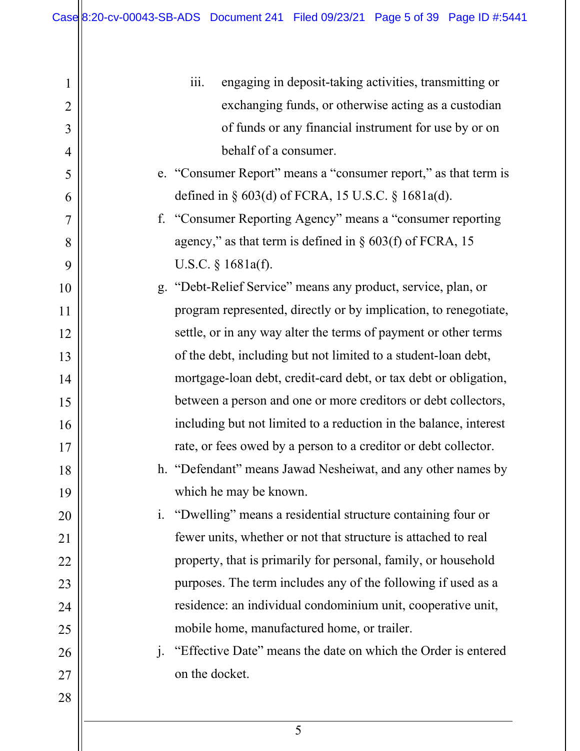| 1              |                | $\overline{111}$ . | engaging in deposit-taking activities, transmitting or            |
|----------------|----------------|--------------------|-------------------------------------------------------------------|
| $\overline{2}$ |                |                    | exchanging funds, or otherwise acting as a custodian              |
| 3              |                |                    | of funds or any financial instrument for use by or on             |
| $\overline{4}$ |                |                    | behalf of a consumer.                                             |
| 5              |                |                    | e. "Consumer Report" means a "consumer report," as that term is   |
| 6              |                |                    | defined in § 603(d) of FCRA, 15 U.S.C. § 1681a(d).                |
| $\overline{7}$ | f.             |                    | "Consumer Reporting Agency" means a "consumer reporting           |
| 8              |                |                    | agency," as that term is defined in $\S$ 603(f) of FCRA, 15       |
| 9              |                |                    | U.S.C. $§$ 1681a(f).                                              |
| 10             |                |                    | g. "Debt-Relief Service" means any product, service, plan, or     |
| 11             |                |                    | program represented, directly or by implication, to renegotiate,  |
| 12             |                |                    | settle, or in any way alter the terms of payment or other terms   |
| 13             |                |                    | of the debt, including but not limited to a student-loan debt,    |
| 14             |                |                    | mortgage-loan debt, credit-card debt, or tax debt or obligation,  |
| 15             |                |                    | between a person and one or more creditors or debt collectors,    |
| 16             |                |                    | including but not limited to a reduction in the balance, interest |
| 17             |                |                    | rate, or fees owed by a person to a creditor or debt collector.   |
| 18             |                |                    | h. "Defendant" means Jawad Nesheiwat, and any other names by      |
| 19             |                |                    | which he may be known.                                            |
| 20             | $\mathbf{i}$ . |                    | "Dwelling" means a residential structure containing four or       |
| 21             |                |                    | fewer units, whether or not that structure is attached to real    |
| 22             |                |                    | property, that is primarily for personal, family, or household    |
| 23             |                |                    | purposes. The term includes any of the following if used as a     |
| 24             |                |                    | residence: an individual condominium unit, cooperative unit,      |
| 25             |                |                    | mobile home, manufactured home, or trailer.                       |
| 26             | j <sub>1</sub> |                    | "Effective Date" means the date on which the Order is entered     |
| 27             |                | on the docket.     |                                                                   |
| 28             |                |                    |                                                                   |
|                |                |                    |                                                                   |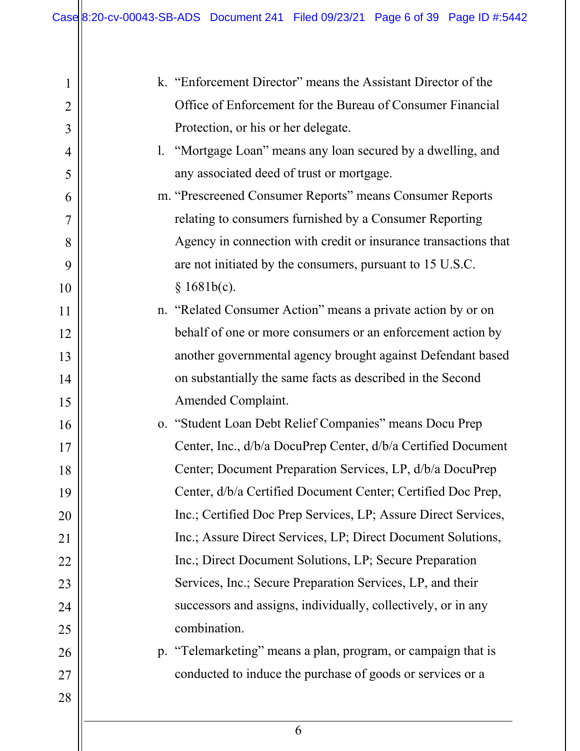| 1              | k. "Enforcement Director" means the Assistant Director of the   |
|----------------|-----------------------------------------------------------------|
| $\overline{2}$ | Office of Enforcement for the Bureau of Consumer Financial      |
| 3              | Protection, or his or her delegate.                             |
| 4              | "Mortgage Loan" means any loan secured by a dwelling, and<br>1. |
| 5              | any associated deed of trust or mortgage.                       |
| 6              | m. "Prescreened Consumer Reports" means Consumer Reports        |
| $\overline{7}$ | relating to consumers furnished by a Consumer Reporting         |
| 8              | Agency in connection with credit or insurance transactions that |
| 9              | are not initiated by the consumers, pursuant to 15 U.S.C.       |
| 10             | § 1681b(c).                                                     |
| 11             | n. "Related Consumer Action" means a private action by or on    |
| 12             | behalf of one or more consumers or an enforcement action by     |
| 13             | another governmental agency brought against Defendant based     |
| 14             | on substantially the same facts as described in the Second      |
| 15             | Amended Complaint.                                              |
| 16             | o. "Student Loan Debt Relief Companies" means Docu Prep         |
| 17             | Center, Inc., d/b/a DocuPrep Center, d/b/a Certified Document   |
| 18             | Center; Document Preparation Services, LP, d/b/a DocuPrep       |
| 19             | Center, d/b/a Certified Document Center; Certified Doc Prep,    |
| 20             | Inc.; Certified Doc Prep Services, LP; Assure Direct Services,  |
| 21             | Inc.; Assure Direct Services, LP; Direct Document Solutions,    |
| 22             | Inc.; Direct Document Solutions, LP; Secure Preparation         |
| 23             | Services, Inc.; Secure Preparation Services, LP, and their      |
| 24             | successors and assigns, individually, collectively, or in any   |
| 25             | combination.                                                    |
| 26             | p. "Telemarketing" means a plan, program, or campaign that is   |
| 27             | conducted to induce the purchase of goods or services or a      |
| 28             |                                                                 |
|                |                                                                 |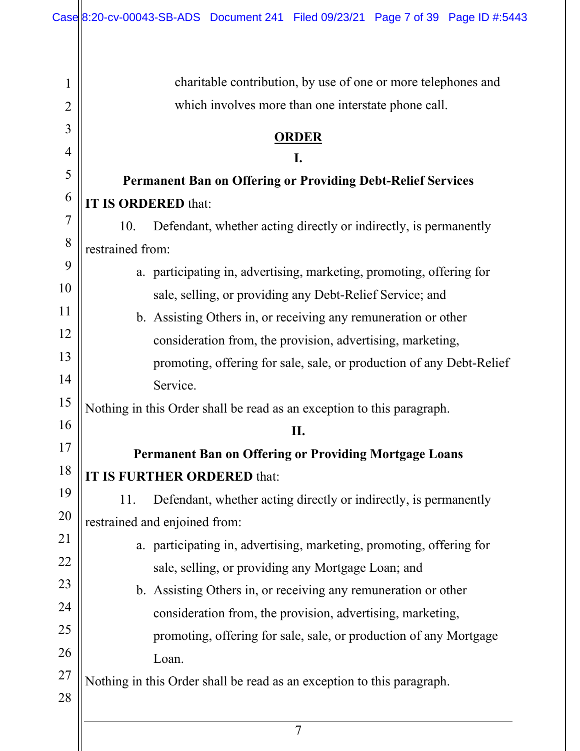Ш

| 1              | charitable contribution, by use of one or more telephones and           |
|----------------|-------------------------------------------------------------------------|
| $\overline{2}$ | which involves more than one interstate phone call.                     |
| 3              | <b>ORDER</b>                                                            |
| 4              | I.                                                                      |
| 5              | <b>Permanent Ban on Offering or Providing Debt-Relief Services</b>      |
| 6              | <b>IT IS ORDERED that:</b>                                              |
| 7              | 10.<br>Defendant, whether acting directly or indirectly, is permanently |
| 8              | restrained from:                                                        |
| 9              | a. participating in, advertising, marketing, promoting, offering for    |
| 10             | sale, selling, or providing any Debt-Relief Service; and                |
| 11             | b. Assisting Others in, or receiving any remuneration or other          |
| 12             | consideration from, the provision, advertising, marketing,              |
| 13             | promoting, offering for sale, sale, or production of any Debt-Relief    |
| 14             | Service.                                                                |
| 15             | Nothing in this Order shall be read as an exception to this paragraph.  |
| 16             | Π.                                                                      |
| 17             | <b>Permanent Ban on Offering or Providing Mortgage Loans</b>            |
| 18             | IT IS FURTHER ORDERED that:                                             |
| 19             | Defendant, whether acting directly or indirectly, is permanently<br>11. |
| 20             | restrained and enjoined from:                                           |
| 21             | a. participating in, advertising, marketing, promoting, offering for    |
| 22             | sale, selling, or providing any Mortgage Loan; and                      |
| 23             | b. Assisting Others in, or receiving any remuneration or other          |
| 24             | consideration from, the provision, advertising, marketing,              |
| 25             | promoting, offering for sale, sale, or production of any Mortgage       |
| 26             | Loan.                                                                   |
| 27             | Nothing in this Order shall be read as an exception to this paragraph.  |
| 28             |                                                                         |
|                |                                                                         |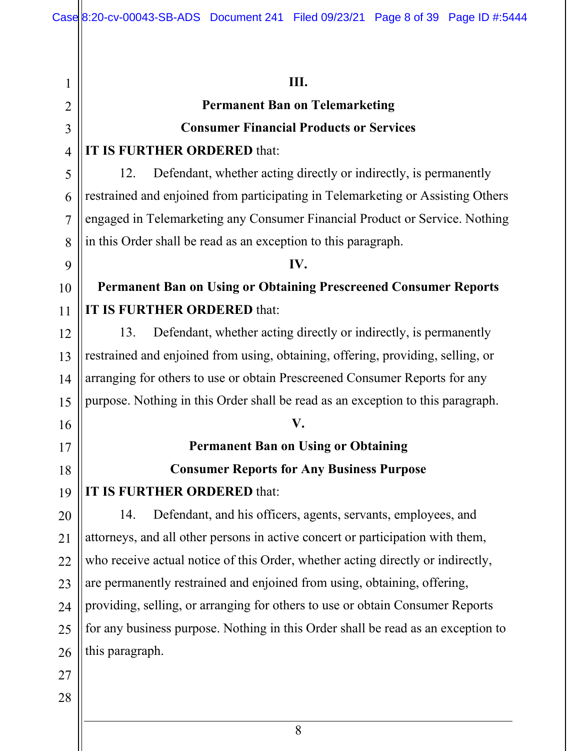1 2 3 4 5 6 7 8 9 10 11 12 13 14 15 16 17 18 19 20 21 22 23 24 25 26 27 28 **III. Permanent Ban on Telemarketing Consumer Financial Products or Services IT IS FURTHER ORDERED** that: 12. Defendant, whether acting directly or indirectly, is permanently restrained and enjoined from participating in Telemarketing or Assisting Others engaged in Telemarketing any Consumer Financial Product or Service. Nothing in this Order shall be read as an exception to this paragraph. **IV. Permanent Ban on Using or Obtaining Prescreened Consumer Reports IT IS FURTHER ORDERED** that: 13. Defendant, whether acting directly or indirectly, is permanently restrained and enjoined from using, obtaining, offering, providing, selling, or arranging for others to use or obtain Prescreened Consumer Reports for any purpose. Nothing in this Order shall be read as an exception to this paragraph. **V. Permanent Ban on Using or Obtaining Consumer Reports for Any Business Purpose IT IS FURTHER ORDERED** that: 14. Defendant, and his officers, agents, servants, employees, and attorneys, and all other persons in active concert or participation with them, who receive actual notice of this Order, whether acting directly or indirectly, are permanently restrained and enjoined from using, obtaining, offering, providing, selling, or arranging for others to use or obtain Consumer Reports for any business purpose. Nothing in this Order shall be read as an exception to this paragraph.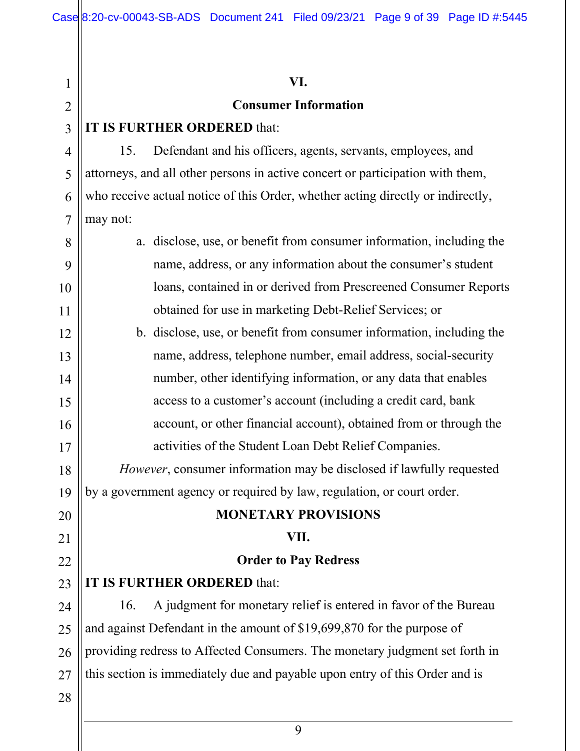| $\mathbf{1}$   | VI.                                                                             |
|----------------|---------------------------------------------------------------------------------|
| $\overline{2}$ | <b>Consumer Information</b>                                                     |
| 3              | IT IS FURTHER ORDERED that:                                                     |
| $\overline{4}$ | Defendant and his officers, agents, servants, employees, and<br>15.             |
| 5              | attorneys, and all other persons in active concert or participation with them,  |
| 6              | who receive actual notice of this Order, whether acting directly or indirectly, |
| $\overline{7}$ | may not:                                                                        |
| 8              | a. disclose, use, or benefit from consumer information, including the           |
| 9              | name, address, or any information about the consumer's student                  |
| 10             | loans, contained in or derived from Prescreened Consumer Reports                |
| 11             | obtained for use in marketing Debt-Relief Services; or                          |
| 12             | b. disclose, use, or benefit from consumer information, including the           |
| 13             | name, address, telephone number, email address, social-security                 |
| 14             | number, other identifying information, or any data that enables                 |
| 15             | access to a customer's account (including a credit card, bank                   |
| 16             | account, or other financial account), obtained from or through the              |
| 17             | activities of the Student Loan Debt Relief Companies.                           |
| 18             | <i>However</i> , consumer information may be disclosed if lawfully requested    |
| 19             | by a government agency or required by law, regulation, or court order.          |
| 20             | <b>MONETARY PROVISIONS</b>                                                      |
| 21             | VII.                                                                            |
| 22             | <b>Order to Pay Redress</b>                                                     |
| 23             | IT IS FURTHER ORDERED that:                                                     |
| 24             | A judgment for monetary relief is entered in favor of the Bureau<br>16.         |
| 25             | and against Defendant in the amount of \$19,699,870 for the purpose of          |
| 26             | providing redress to Affected Consumers. The monetary judgment set forth in     |
| 27             | this section is immediately due and payable upon entry of this Order and is     |
| 28             |                                                                                 |
|                |                                                                                 |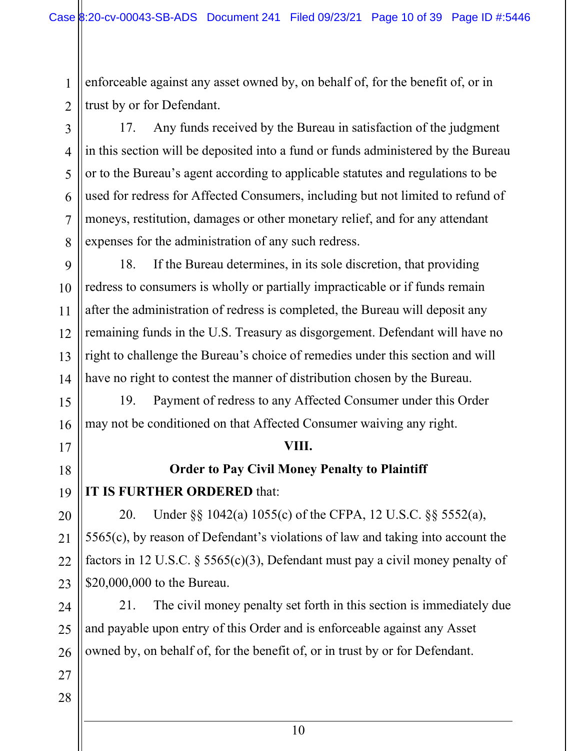enforceable against any asset owned by, on behalf of, for the benefit of, or in trust by or for Defendant.

17. Any funds received by the Bureau in satisfaction of the judgment in this section will be deposited into a fund or funds administered by the Bureau or to the Bureau's agent according to applicable statutes and regulations to be used for redress for Affected Consumers, including but not limited to refund of moneys, restitution, damages or other monetary relief, and for any attendant expenses for the administration of any such redress.

9 10 12 13 14 18. If the Bureau determines, in its sole discretion, that providing redress to consumers is wholly or partially impracticable or if funds remain after the administration of redress is completed, the Bureau will deposit any remaining funds in the U.S. Treasury as disgorgement. Defendant will have no right to challenge the Bureau's choice of remedies under this section and will have no right to contest the manner of distribution chosen by the Bureau.

19. Payment of redress to any Affected Consumer under this Order may not be conditioned on that Affected Consumer waiving any right.

## **VIII.**

## **Order to Pay Civil Money Penalty to Plaintiff**

## **IT IS FURTHER ORDERED** that:

20. Under §§ 1042(a) 1055(c) of the CFPA, 12 U.S.C. §§ 5552(a), 5565(c), by reason of Defendant's violations of law and taking into account the factors in 12 U.S.C. § 5565(c)(3), Defendant must pay a civil money penalty of \$20,000,000 to the Bureau.

21. The civil money penalty set forth in this section is immediately due and payable upon entry of this Order and is enforceable against any Asset owned by, on behalf of, for the benefit of, or in trust by or for Defendant.

1

2

3

4

5

6

7

8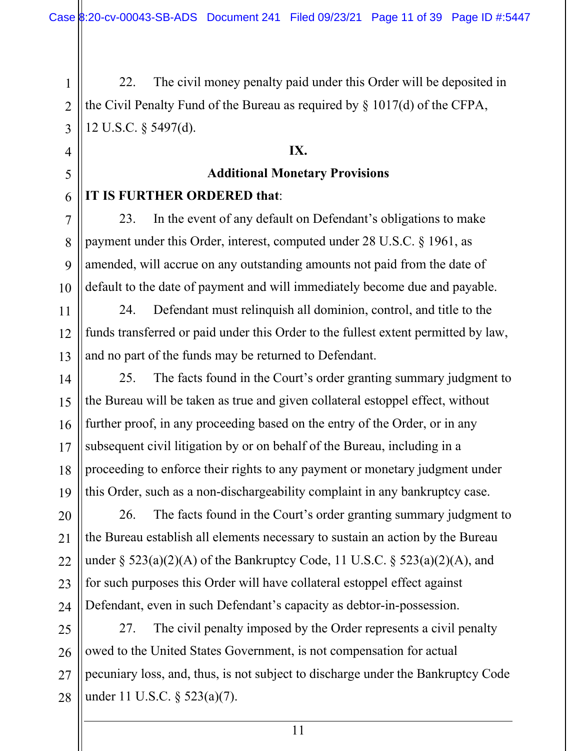22. The civil money penalty paid under this Order will be deposited in the Civil Penalty Fund of the Bureau as required by § 1017(d) of the CFPA, 12 U.S.C. § 5497(d).

## **IX.**

# **Additional Monetary Provisions**

## **IT IS FURTHER ORDERED that**:

23. In the event of any default on Defendant's obligations to make payment under this Order, interest, computed under 28 U.S.C. § 1961, as amended, will accrue on any outstanding amounts not paid from the date of default to the date of payment and will immediately become due and payable.

24. Defendant must relinquish all dominion, control, and title to the funds transferred or paid under this Order to the fullest extent permitted by law, and no part of the funds may be returned to Defendant.

25. The facts found in the Court's order granting summary judgment to the Bureau will be taken as true and given collateral estoppel effect, without further proof, in any proceeding based on the entry of the Order, or in any subsequent civil litigation by or on behalf of the Bureau, including in a proceeding to enforce their rights to any payment or monetary judgment under this Order, such as a non-dischargeability complaint in any bankruptcy case.

26. The facts found in the Court's order granting summary judgment to the Bureau establish all elements necessary to sustain an action by the Bureau under  $\S$  523(a)(2)(A) of the Bankruptcy Code, 11 U.S.C.  $\S$  523(a)(2)(A), and for such purposes this Order will have collateral estoppel effect against Defendant, even in such Defendant's capacity as debtor-in-possession.

27. The civil penalty imposed by the Order represents a civil penalty owed to the United States Government, is not compensation for actual pecuniary loss, and, thus, is not subject to discharge under the Bankruptcy Code under 11 U.S.C. § 523(a)(7).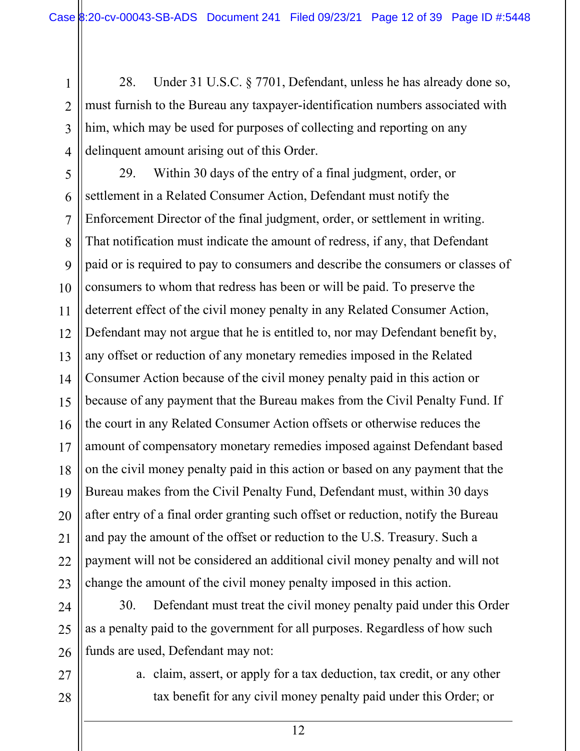28. Under 31 U.S.C. § 7701, Defendant, unless he has already done so, must furnish to the Bureau any taxpayer-identification numbers associated with him, which may be used for purposes of collecting and reporting on any delinquent amount arising out of this Order.

5 6 7 8 9 10 11 12 13 14 15 16 17 18 19 20 21 22 23 29. Within 30 days of the entry of a final judgment, order, or settlement in a Related Consumer Action, Defendant must notify the Enforcement Director of the final judgment, order, or settlement in writing. That notification must indicate the amount of redress, if any, that Defendant paid or is required to pay to consumers and describe the consumers or classes of consumers to whom that redress has been or will be paid. To preserve the deterrent effect of the civil money penalty in any Related Consumer Action, Defendant may not argue that he is entitled to, nor may Defendant benefit by, any offset or reduction of any monetary remedies imposed in the Related Consumer Action because of the civil money penalty paid in this action or because of any payment that the Bureau makes from the Civil Penalty Fund. If the court in any Related Consumer Action offsets or otherwise reduces the amount of compensatory monetary remedies imposed against Defendant based on the civil money penalty paid in this action or based on any payment that the Bureau makes from the Civil Penalty Fund, Defendant must, within 30 days after entry of a final order granting such offset or reduction, notify the Bureau and pay the amount of the offset or reduction to the U.S. Treasury. Such a payment will not be considered an additional civil money penalty and will not change the amount of the civil money penalty imposed in this action.

24 25 26 30. Defendant must treat the civil money penalty paid under this Order as a penalty paid to the government for all purposes. Regardless of how such funds are used, Defendant may not:

27 28

1

2

3

4

a. claim, assert, or apply for a tax deduction, tax credit, or any other tax benefit for any civil money penalty paid under this Order; or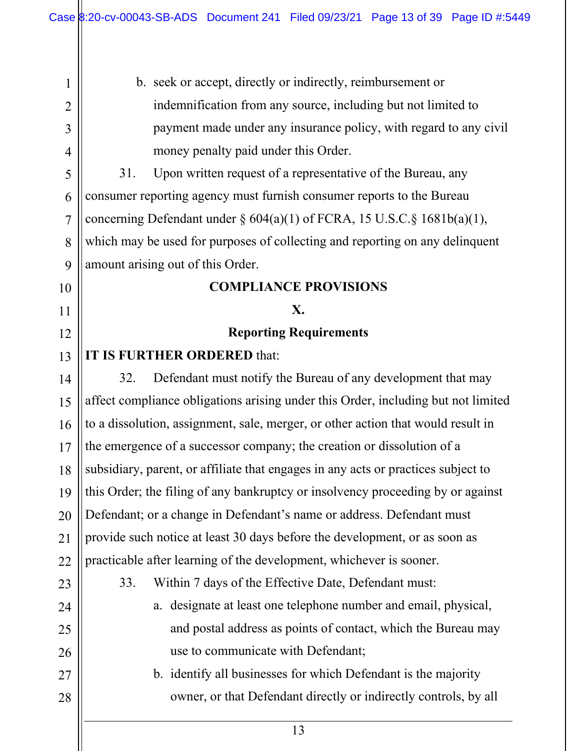1 2 3 4 5 6 7 8 9 10 11 12 13 14 15 16 17 18 19 20 21 22 23 24 25 26 27 28 b. seek or accept, directly or indirectly, reimbursement or indemnification from any source, including but not limited to payment made under any insurance policy, with regard to any civil money penalty paid under this Order. 31. Upon written request of a representative of the Bureau, any consumer reporting agency must furnish consumer reports to the Bureau concerning Defendant under  $\S 604(a)(1)$  of FCRA, 15 U.S.C. $\S 1681b(a)(1)$ , which may be used for purposes of collecting and reporting on any delinquent amount arising out of this Order. **COMPLIANCE PROVISIONS X. Reporting Requirements IT IS FURTHER ORDERED** that: 32. Defendant must notify the Bureau of any development that may affect compliance obligations arising under this Order, including but not limited to a dissolution, assignment, sale, merger, or other action that would result in the emergence of a successor company; the creation or dissolution of a subsidiary, parent, or affiliate that engages in any acts or practices subject to this Order; the filing of any bankruptcy or insolvency proceeding by or against Defendant; or a change in Defendant's name or address. Defendant must provide such notice at least 30 days before the development, or as soon as practicable after learning of the development, whichever is sooner. 33. Within 7 days of the Effective Date, Defendant must: a. designate at least one telephone number and email, physical, and postal address as points of contact, which the Bureau may use to communicate with Defendant; b. identify all businesses for which Defendant is the majority owner, or that Defendant directly or indirectly controls, by all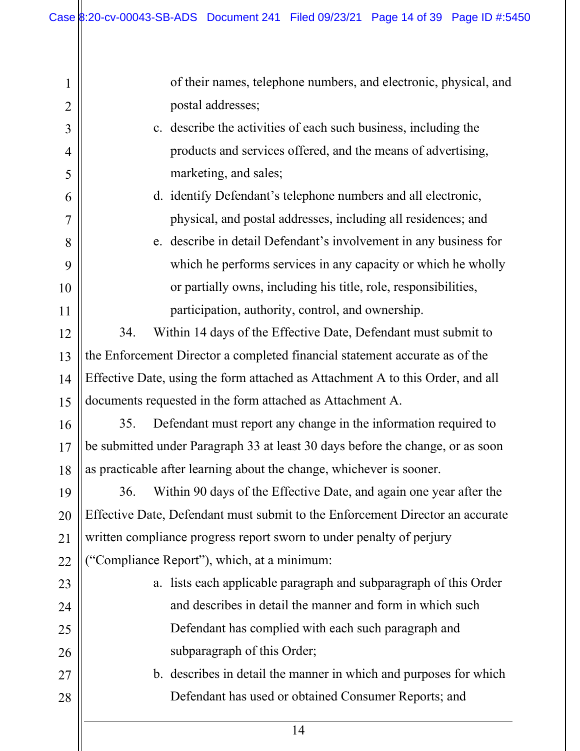| $\mathbf{1}$   | of their names, telephone numbers, and electronic, physical, and               |  |  |  |  |
|----------------|--------------------------------------------------------------------------------|--|--|--|--|
| $\overline{2}$ | postal addresses;                                                              |  |  |  |  |
| 3              | c. describe the activities of each such business, including the                |  |  |  |  |
| $\overline{4}$ | products and services offered, and the means of advertising,                   |  |  |  |  |
| 5              | marketing, and sales;                                                          |  |  |  |  |
| 6              | d. identify Defendant's telephone numbers and all electronic,                  |  |  |  |  |
| $\overline{7}$ | physical, and postal addresses, including all residences; and                  |  |  |  |  |
| 8              | e. describe in detail Defendant's involvement in any business for              |  |  |  |  |
| 9              | which he performs services in any capacity or which he wholly                  |  |  |  |  |
| 10             | or partially owns, including his title, role, responsibilities,                |  |  |  |  |
| 11             | participation, authority, control, and ownership.                              |  |  |  |  |
| 12             | Within 14 days of the Effective Date, Defendant must submit to<br>34.          |  |  |  |  |
| 13             | the Enforcement Director a completed financial statement accurate as of the    |  |  |  |  |
| 14             | Effective Date, using the form attached as Attachment A to this Order, and all |  |  |  |  |
| 15             | documents requested in the form attached as Attachment A.                      |  |  |  |  |
| 16             | Defendant must report any change in the information required to<br>35.         |  |  |  |  |
| 17             | be submitted under Paragraph 33 at least 30 days before the change, or as soon |  |  |  |  |
| 18             | as practicable after learning about the change, whichever is sooner.           |  |  |  |  |
| 19             | Within 90 days of the Effective Date, and again one year after the<br>36.      |  |  |  |  |
| 20             | Effective Date, Defendant must submit to the Enforcement Director an accurate  |  |  |  |  |
| 21             | written compliance progress report sworn to under penalty of perjury           |  |  |  |  |
| 22             | ("Compliance Report"), which, at a minimum:                                    |  |  |  |  |
| 23             | a. lists each applicable paragraph and subparagraph of this Order              |  |  |  |  |
| 24             | and describes in detail the manner and form in which such                      |  |  |  |  |
| 25             | Defendant has complied with each such paragraph and                            |  |  |  |  |
| 26             | subparagraph of this Order;                                                    |  |  |  |  |
| 27             | b. describes in detail the manner in which and purposes for which              |  |  |  |  |
| 28             | Defendant has used or obtained Consumer Reports; and                           |  |  |  |  |
|                | 14                                                                             |  |  |  |  |
|                |                                                                                |  |  |  |  |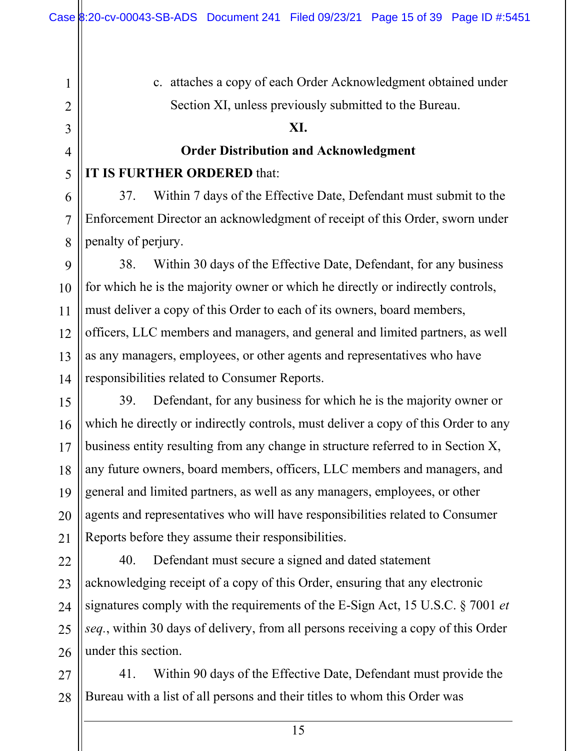c. attaches a copy of each Order Acknowledgment obtained under Section XI, unless previously submitted to the Bureau.

## **XI.**

# **Order Distribution and Acknowledgment**

## **IT IS FURTHER ORDERED** that:

37. Within 7 days of the Effective Date, Defendant must submit to the Enforcement Director an acknowledgment of receipt of this Order, sworn under penalty of perjury.

14 38. Within 30 days of the Effective Date, Defendant, for any business for which he is the majority owner or which he directly or indirectly controls, must deliver a copy of this Order to each of its owners, board members, officers, LLC members and managers, and general and limited partners, as well as any managers, employees, or other agents and representatives who have responsibilities related to Consumer Reports.

15 16 17 18 19 20 21 39. Defendant, for any business for which he is the majority owner or which he directly or indirectly controls, must deliver a copy of this Order to any business entity resulting from any change in structure referred to in Section X, any future owners, board members, officers, LLC members and managers, and general and limited partners, as well as any managers, employees, or other agents and representatives who will have responsibilities related to Consumer Reports before they assume their responsibilities.

22 23 24 25 26 40. Defendant must secure a signed and dated statement acknowledging receipt of a copy of this Order, ensuring that any electronic signatures comply with the requirements of the E-Sign Act, 15 U.S.C. § 7001 *et seq.*, within 30 days of delivery, from all persons receiving a copy of this Order under this section.

27 28 41. Within 90 days of the Effective Date, Defendant must provide the Bureau with a list of all persons and their titles to whom this Order was

1

2

3

4

5

6

7

8

9

10

11

12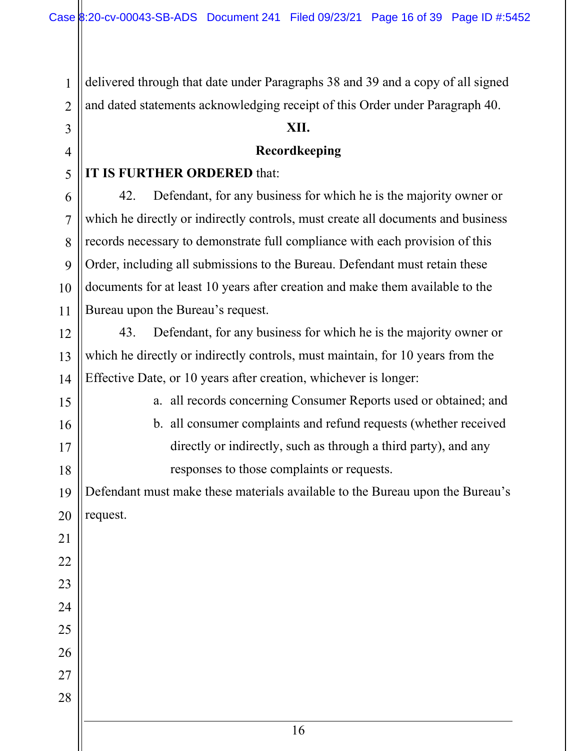delivered through that date under Paragraphs 38 and 39 and a copy of all signed and dated statements acknowledging receipt of this Order under Paragraph 40.

## **XII.**

## **Recordkeeping**

## **IT IS FURTHER ORDERED** that:

42. Defendant, for any business for which he is the majority owner or which he directly or indirectly controls, must create all documents and business records necessary to demonstrate full compliance with each provision of this Order, including all submissions to the Bureau. Defendant must retain these documents for at least 10 years after creation and make them available to the Bureau upon the Bureau's request.

14 43. Defendant, for any business for which he is the majority owner or which he directly or indirectly controls, must maintain, for 10 years from the Effective Date, or 10 years after creation, whichever is longer:

> a. all records concerning Consumer Reports used or obtained; and b. all consumer complaints and refund requests (whether received

directly or indirectly, such as through a third party), and any responses to those complaints or requests.

Defendant must make these materials available to the Bureau upon the Bureau's request.

1

2

3

4

5

6

7

8

9

10

11

12

13

15

16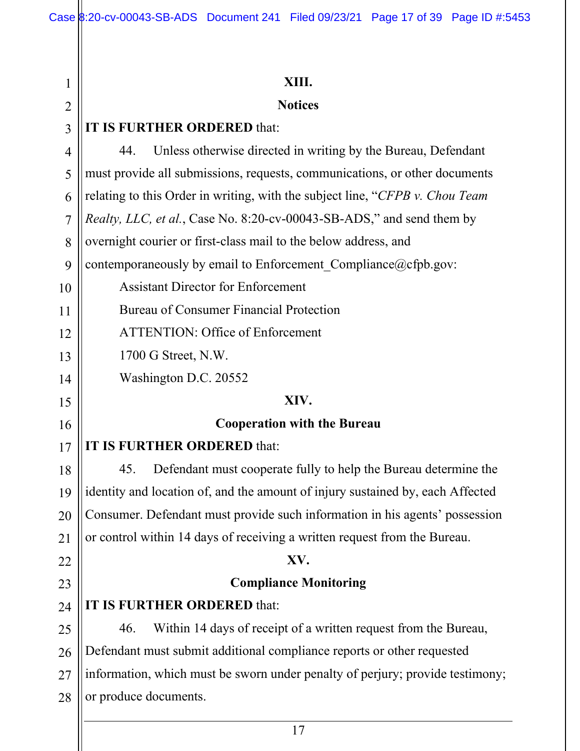| XIII.                                                                          |  |  |  |
|--------------------------------------------------------------------------------|--|--|--|
| <b>Notices</b>                                                                 |  |  |  |
| IT IS FURTHER ORDERED that:                                                    |  |  |  |
| Unless otherwise directed in writing by the Bureau, Defendant<br>44.           |  |  |  |
| must provide all submissions, requests, communications, or other documents     |  |  |  |
| relating to this Order in writing, with the subject line, "CFPB v. Chou Team   |  |  |  |
| Realty, LLC, et al., Case No. 8:20-cv-00043-SB-ADS," and send them by          |  |  |  |
| overnight courier or first-class mail to the below address, and                |  |  |  |
| contemporaneously by email to Enforcement Compliance@cfpb.gov:                 |  |  |  |
| <b>Assistant Director for Enforcement</b>                                      |  |  |  |
| Bureau of Consumer Financial Protection                                        |  |  |  |
| <b>ATTENTION: Office of Enforcement</b>                                        |  |  |  |
| 1700 G Street, N.W.                                                            |  |  |  |
| Washington D.C. 20552                                                          |  |  |  |
| XIV.                                                                           |  |  |  |
| <b>Cooperation with the Bureau</b>                                             |  |  |  |
| IT IS FURTHER ORDERED that:                                                    |  |  |  |
| Defendant must cooperate fully to help the Bureau determine the<br>45.         |  |  |  |
| identity and location of, and the amount of injury sustained by, each Affected |  |  |  |
| Consumer. Defendant must provide such information in his agents' possession    |  |  |  |
| or control within 14 days of receiving a written request from the Bureau.      |  |  |  |
| XV.                                                                            |  |  |  |
| <b>Compliance Monitoring</b>                                                   |  |  |  |
| IT IS FURTHER ORDERED that:                                                    |  |  |  |
| Within 14 days of receipt of a written request from the Bureau,<br>46.         |  |  |  |
| Defendant must submit additional compliance reports or other requested         |  |  |  |
| information, which must be sworn under penalty of perjury; provide testimony;  |  |  |  |
| or produce documents.                                                          |  |  |  |
|                                                                                |  |  |  |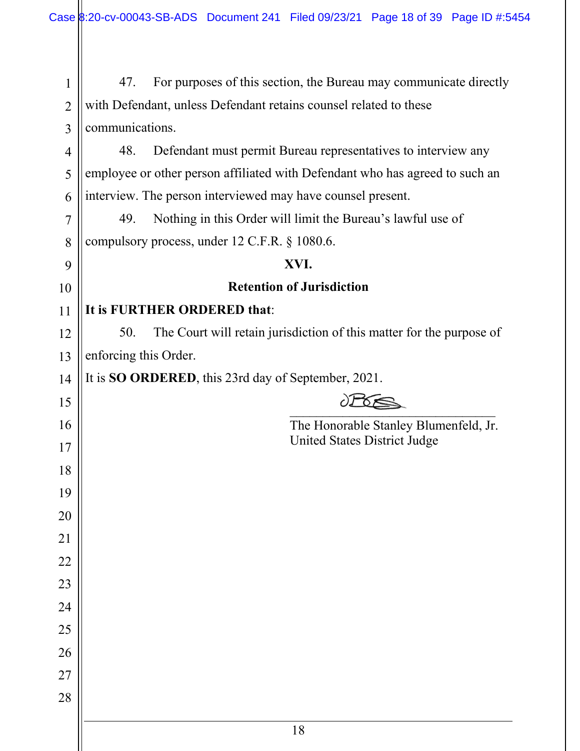Ш

| $\mathbf{1}$   | 47.                                                                         | For purposes of this section, the Bureau may communicate directly            |  |  |  |
|----------------|-----------------------------------------------------------------------------|------------------------------------------------------------------------------|--|--|--|
| $\overline{2}$ | with Defendant, unless Defendant retains counsel related to these           |                                                                              |  |  |  |
| 3              | communications.                                                             |                                                                              |  |  |  |
| 4              | 48.                                                                         | Defendant must permit Bureau representatives to interview any                |  |  |  |
| 5              |                                                                             | employee or other person affiliated with Defendant who has agreed to such an |  |  |  |
| 6              |                                                                             | interview. The person interviewed may have counsel present.                  |  |  |  |
| $\overline{7}$ | 49.                                                                         | Nothing in this Order will limit the Bureau's lawful use of                  |  |  |  |
| 8              |                                                                             | compulsory process, under 12 C.F.R. § 1080.6.                                |  |  |  |
| 9              |                                                                             | XVI.                                                                         |  |  |  |
| 10             |                                                                             | <b>Retention of Jurisdiction</b>                                             |  |  |  |
| 11             |                                                                             | It is FURTHER ORDERED that:                                                  |  |  |  |
| 12             | The Court will retain jurisdiction of this matter for the purpose of<br>50. |                                                                              |  |  |  |
| 13             | enforcing this Order.                                                       |                                                                              |  |  |  |
| 14             | It is <b>SO ORDERED</b> , this 23rd day of September, 2021.                 |                                                                              |  |  |  |
| 15             |                                                                             |                                                                              |  |  |  |
| 16             |                                                                             | The Honorable Stanley Blumenfeld, Jr.                                        |  |  |  |
| 17             |                                                                             | United States District Judge                                                 |  |  |  |
| 18             |                                                                             |                                                                              |  |  |  |
| 19             |                                                                             |                                                                              |  |  |  |
| 20             |                                                                             |                                                                              |  |  |  |
| 21             |                                                                             |                                                                              |  |  |  |
| 22             |                                                                             |                                                                              |  |  |  |
| 23             |                                                                             |                                                                              |  |  |  |
| 24             |                                                                             |                                                                              |  |  |  |
| 25             |                                                                             |                                                                              |  |  |  |
| 26             |                                                                             |                                                                              |  |  |  |
| 27             |                                                                             |                                                                              |  |  |  |
| 28             |                                                                             |                                                                              |  |  |  |
|                |                                                                             |                                                                              |  |  |  |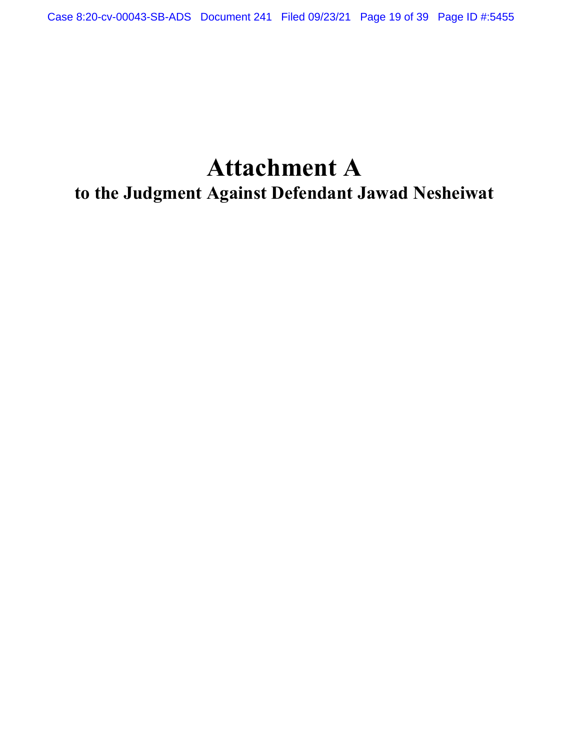# **Attachment A to the Judgment Against Defendant Jawad Nesheiwat**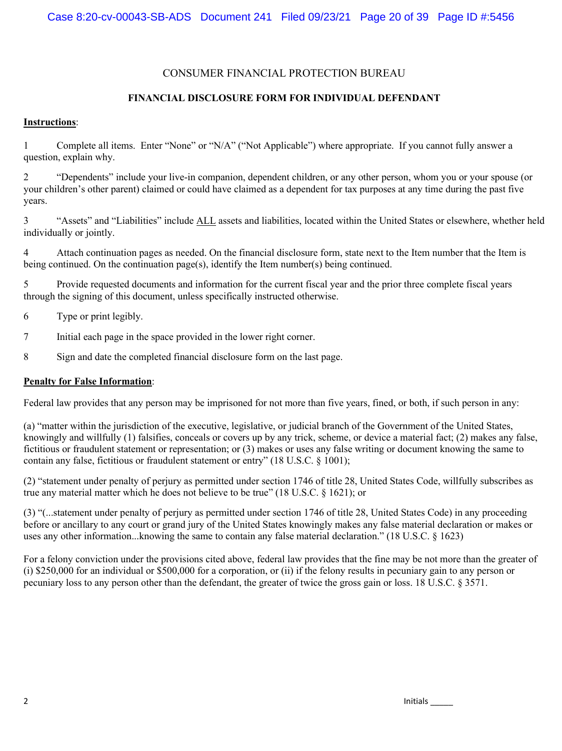#### CONSUMER FINANCIAL PROTECTION BUREAU

#### **FINANCIAL DISCLOSURE FORM FOR INDIVIDUAL DEFENDANT**

#### **Instructions**:

1 Complete all items. Enter "None" or "N/A" ("Not Applicable") where appropriate. If you cannot fully answer a question, explain why.

2 "Dependents" include your live-in companion, dependent children, or any other person, whom you or your spouse (or your children's other parent) claimed or could have claimed as a dependent for tax purposes at any time during the past five years.

3 "Assets" and "Liabilities" include ALL assets and liabilities, located within the United States or elsewhere, whether held individually or jointly.

4 Attach continuation pages as needed. On the financial disclosure form, state next to the Item number that the Item is being continued. On the continuation page(s), identify the Item number(s) being continued.

5 Provide requested documents and information for the current fiscal year and the prior three complete fiscal years through the signing of this document, unless specifically instructed otherwise.

- 6 Type or print legibly.
- 7 Initial each page in the space provided in the lower right corner.
- 8 Sign and date the completed financial disclosure form on the last page.

#### **Penalty for False Information**:

Federal law provides that any person may be imprisoned for not more than five years, fined, or both, if such person in any:

(a) "matter within the jurisdiction of the executive, legislative, or judicial branch of the Government of the United States, knowingly and willfully (1) falsifies, conceals or covers up by any trick, scheme, or device a material fact; (2) makes any false, fictitious or fraudulent statement or representation; or (3) makes or uses any false writing or document knowing the same to contain any false, fictitious or fraudulent statement or entry" (18 U.S.C. § 1001);

(2) "statement under penalty of perjury as permitted under section 1746 of title 28, United States Code, willfully subscribes as true any material matter which he does not believe to be true" (18 U.S.C. § 1621); or

(3) "(...statement under penalty of perjury as permitted under section 1746 of title 28, United States Code) in any proceeding before or ancillary to any court or grand jury of the United States knowingly makes any false material declaration or makes or uses any other information...knowing the same to contain any false material declaration." (18 U.S.C. § 1623)

For a felony conviction under the provisions cited above, federal law provides that the fine may be not more than the greater of (i) \$250,000 for an individual or \$500,000 for a corporation, or (ii) if the felony results in pecuniary gain to any person or pecuniary loss to any person other than the defendant, the greater of twice the gross gain or loss. 18 U.S.C. § 3571.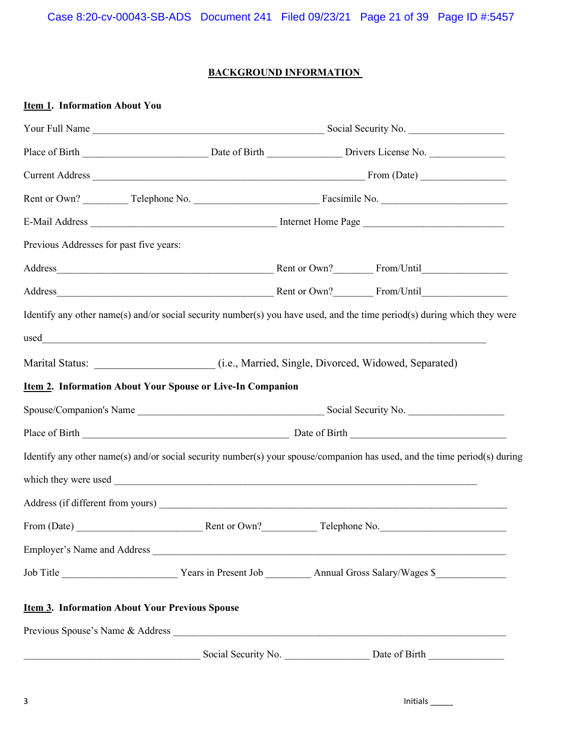## **BACKGROUND INFORMATION**

| <b>Item 1. Information About You</b>                                                            |  |  |                                                                                                                           |  |
|-------------------------------------------------------------------------------------------------|--|--|---------------------------------------------------------------------------------------------------------------------------|--|
|                                                                                                 |  |  |                                                                                                                           |  |
|                                                                                                 |  |  |                                                                                                                           |  |
|                                                                                                 |  |  |                                                                                                                           |  |
|                                                                                                 |  |  |                                                                                                                           |  |
|                                                                                                 |  |  |                                                                                                                           |  |
| Previous Addresses for past five years:                                                         |  |  |                                                                                                                           |  |
|                                                                                                 |  |  |                                                                                                                           |  |
|                                                                                                 |  |  |                                                                                                                           |  |
|                                                                                                 |  |  | Identify any other name(s) and/or social security number(s) you have used, and the time period(s) during which they were  |  |
|                                                                                                 |  |  |                                                                                                                           |  |
| Marital Status: __________________________(i.e., Married, Single, Divorced, Widowed, Separated) |  |  |                                                                                                                           |  |
| <b>Item 2. Information About Your Spouse or Live-In Companion</b>                               |  |  |                                                                                                                           |  |
|                                                                                                 |  |  |                                                                                                                           |  |
|                                                                                                 |  |  |                                                                                                                           |  |
|                                                                                                 |  |  | Identify any other name(s) and/or social security number(s) your spouse/companion has used, and the time period(s) during |  |
|                                                                                                 |  |  |                                                                                                                           |  |
|                                                                                                 |  |  |                                                                                                                           |  |
|                                                                                                 |  |  |                                                                                                                           |  |
|                                                                                                 |  |  |                                                                                                                           |  |
|                                                                                                 |  |  |                                                                                                                           |  |
| <b>Item 3. Information About Your Previous Spouse</b>                                           |  |  |                                                                                                                           |  |
| Previous Spouse's Name & Address                                                                |  |  |                                                                                                                           |  |
|                                                                                                 |  |  |                                                                                                                           |  |

3 Initials \_\_\_\_\_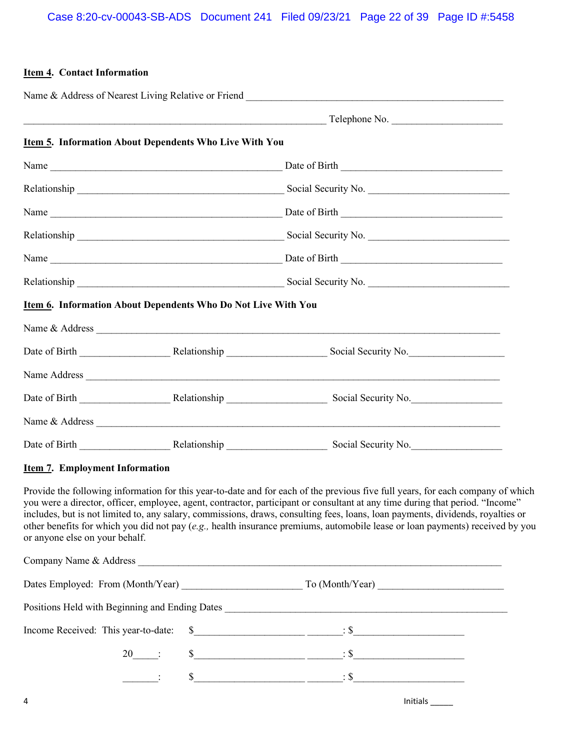#### **Item 4. Contact Information**

|  | Item 5. Information About Dependents Who Live With You               |                           |  |  |  |
|--|----------------------------------------------------------------------|---------------------------|--|--|--|
|  |                                                                      |                           |  |  |  |
|  |                                                                      |                           |  |  |  |
|  |                                                                      |                           |  |  |  |
|  |                                                                      |                           |  |  |  |
|  |                                                                      |                           |  |  |  |
|  |                                                                      |                           |  |  |  |
|  | <b>Item 6. Information About Dependents Who Do Not Live With You</b> |                           |  |  |  |
|  |                                                                      |                           |  |  |  |
|  |                                                                      |                           |  |  |  |
|  |                                                                      | Name Address Name Address |  |  |  |
|  |                                                                      |                           |  |  |  |
|  |                                                                      | Name & Address            |  |  |  |
|  |                                                                      |                           |  |  |  |

#### **Item 7. Employment Information**

Provide the following information for this year-to-date and for each of the previous five full years, for each company of which you were a director, officer, employee, agent, contractor, participant or consultant at any time during that period. "Income" includes, but is not limited to, any salary, commissions, draws, consulting fees, loans, loan payments, dividends, royalties or other benefits for which you did not pay (*e.g.,* health insurance premiums, automobile lease or loan payments) received by you or anyone else on your behalf.

| Company Name & Address                                            |  |          |
|-------------------------------------------------------------------|--|----------|
| Dates Employed: From (Month/Year) To (Month/Year) To (Month/Year) |  |          |
| Positions Held with Beginning and Ending Dates                    |  |          |
|                                                                   |  |          |
| $20$ :                                                            |  |          |
| $\sim 10^{11}$ and $\sim 10^{11}$                                 |  |          |
| 4                                                                 |  | Initials |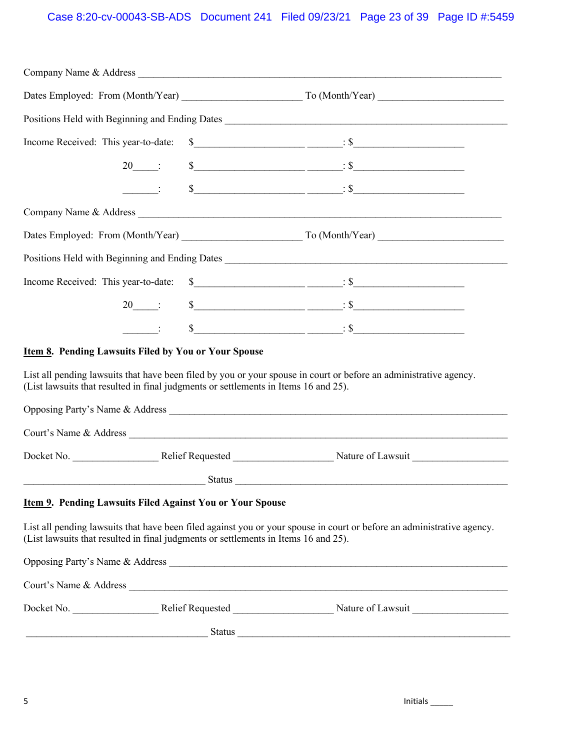## Case 8:20-cv-00043-SB-ADS Document 241 Filed 09/23/21 Page 23 of 39 Page ID #:5459

|                                                                                     | Company Name & Address                                                                                                                                                                                                                                                                                                                                                                                                                                    |
|-------------------------------------------------------------------------------------|-----------------------------------------------------------------------------------------------------------------------------------------------------------------------------------------------------------------------------------------------------------------------------------------------------------------------------------------------------------------------------------------------------------------------------------------------------------|
|                                                                                     |                                                                                                                                                                                                                                                                                                                                                                                                                                                           |
|                                                                                     |                                                                                                                                                                                                                                                                                                                                                                                                                                                           |
| Income Received: This year-to-date:                                                 | $\frac{\text{S}}{\text{S}}$ $\frac{\text{S}}{\text{S}}$ $\frac{\text{S}}{\text{S}}$ $\frac{\text{S}}{\text{S}}$ $\frac{\text{S}}{\text{S}}$ $\frac{\text{S}}{\text{S}}$ $\frac{\text{S}}{\text{S}}$ $\frac{\text{S}}{\text{S}}$ $\frac{\text{S}}{\text{S}}$ $\frac{\text{S}}{\text{S}}$ $\frac{\text{S}}{\text{S}}$ $\frac{\text{S}}{\text{S}}$ $\frac{\text{S}}{\text{S}}$ $\frac{\text{S}}{\text{S}}$ $\frac{\text{S}}{\text{$                          |
| $20$ :                                                                              | $s$ $\overbrace{\hspace{2.5cm}}^{s}$                                                                                                                                                                                                                                                                                                                                                                                                                      |
|                                                                                     | $\frac{\text{S}}{\text{S}}$ $\frac{\text{S}}{\text{S}}$ $\frac{\text{S}}{\text{S}}$ $\frac{\text{S}}{\text{S}}$ $\frac{\text{S}}{\text{S}}$ $\frac{\text{S}}{\text{S}}$ $\frac{\text{S}}{\text{S}}$ $\frac{\text{S}}{\text{S}}$ $\frac{\text{S}}{\text{S}}$ $\frac{\text{S}}{\text{S}}$ $\frac{\text{S}}{\text{S}}$ $\frac{\text{S}}{\text{S}}$ $\frac{\text{S}}{\text{S}}$ $\frac{\text{S}}{\text{S}}$ $\frac{\text{S}}{\text{$                          |
|                                                                                     |                                                                                                                                                                                                                                                                                                                                                                                                                                                           |
|                                                                                     |                                                                                                                                                                                                                                                                                                                                                                                                                                                           |
|                                                                                     | Positions Held with Beginning and Ending Dates                                                                                                                                                                                                                                                                                                                                                                                                            |
| Income Received: This year-to-date:                                                 | $s$ $\overline{\hspace{1cm}}$ $\overline{\hspace{1cm}}$ $\overline{\hspace{1cm}}$ $\overline{\hspace{1cm}}$ $\overline{\hspace{1cm}}$ $\overline{\hspace{1cm}}$ $\overline{\hspace{1cm}}$ $\overline{\hspace{1cm}}$ $\overline{\hspace{1cm}}$ $\overline{\hspace{1cm}}$ $\overline{\hspace{1cm}}$ $\overline{\hspace{1cm}}$ $\overline{\hspace{1cm}}$ $\overline{\hspace{1cm}}$ $\overline{\hspace{1cm}}$ $\overline{\hspace{1cm}}$ $\overline{\hspace{1$ |
| $20 \quad \vdots$                                                                   | $s$ $\overline{\hspace{1cm}}$ $\overline{\hspace{1cm}}$ $\overline{\hspace{1cm}}$ $\overline{\hspace{1cm}}$ $\overline{\hspace{1cm}}$ $\overline{\hspace{1cm}}$ $\overline{\hspace{1cm}}$ $\overline{\hspace{1cm}}$ $\overline{\hspace{1cm}}$ $\overline{\hspace{1cm}}$ $\overline{\hspace{1cm}}$ $\overline{\hspace{1cm}}$ $\overline{\hspace{1cm}}$ $\overline{\hspace{1cm}}$ $\overline{\hspace{1cm}}$ $\overline{\hspace{1cm}}$ $\overline{\hspace{1$ |
| $\sim 10^{11}$ and $\sim 10^{11}$                                                   | $\frac{\text{S}}{\text{S}}$ $\frac{\text{S}}{\text{S}}$ $\frac{\text{S}}{\text{S}}$ $\frac{\text{S}}{\text{S}}$ $\frac{\text{S}}{\text{S}}$ $\frac{\text{S}}{\text{S}}$ $\frac{\text{S}}{\text{S}}$ $\frac{\text{S}}{\text{S}}$ $\frac{\text{S}}{\text{S}}$ $\frac{\text{S}}{\text{S}}$ $\frac{\text{S}}{\text{S}}$ $\frac{\text{S}}{\text{S}}$ $\frac{\text{S}}{\text{S}}$ $\frac{\text{S}}{\text{S}}$ $\frac{\text{S}}{\text{$                          |
| <b>Item 8. Pending Lawsuits Filed by You or Your Spouse</b>                         |                                                                                                                                                                                                                                                                                                                                                                                                                                                           |
| (List lawsuits that resulted in final judgments or settlements in Items 16 and 25). | List all pending lawsuits that have been filed by you or your spouse in court or before an administrative agency.                                                                                                                                                                                                                                                                                                                                         |
|                                                                                     |                                                                                                                                                                                                                                                                                                                                                                                                                                                           |
|                                                                                     |                                                                                                                                                                                                                                                                                                                                                                                                                                                           |
|                                                                                     |                                                                                                                                                                                                                                                                                                                                                                                                                                                           |
|                                                                                     |                                                                                                                                                                                                                                                                                                                                                                                                                                                           |
| <b>Item 9. Pending Lawsuits Filed Against You or Your Spouse</b>                    |                                                                                                                                                                                                                                                                                                                                                                                                                                                           |
| (List lawsuits that resulted in final judgments or settlements in Items 16 and 25). | List all pending lawsuits that have been filed against you or your spouse in court or before an administrative agency.                                                                                                                                                                                                                                                                                                                                    |
|                                                                                     | Opposing Party's Name & Address                                                                                                                                                                                                                                                                                                                                                                                                                           |
|                                                                                     |                                                                                                                                                                                                                                                                                                                                                                                                                                                           |
|                                                                                     |                                                                                                                                                                                                                                                                                                                                                                                                                                                           |
|                                                                                     |                                                                                                                                                                                                                                                                                                                                                                                                                                                           |
|                                                                                     |                                                                                                                                                                                                                                                                                                                                                                                                                                                           |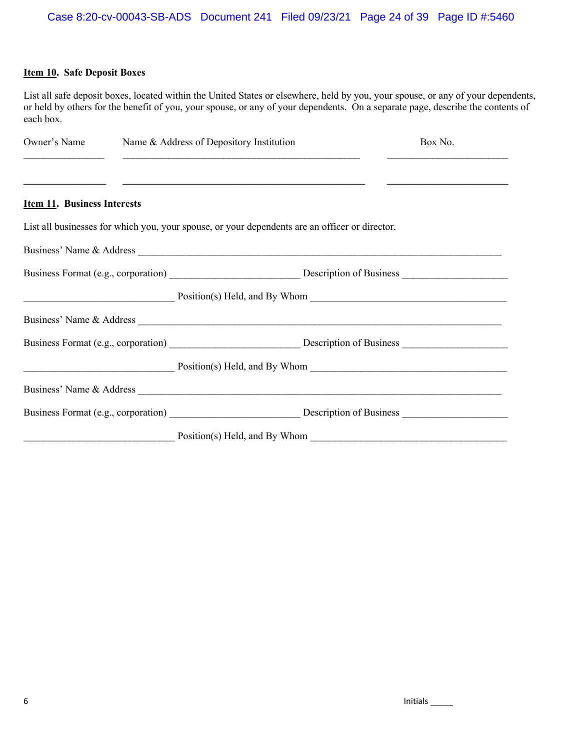#### **Item 10. Safe Deposit Boxes**

List all safe deposit boxes, located within the United States or elsewhere, held by you, your spouse, or any of your dependents, or held by others for the benefit of you, your spouse, or any of your dependents. On a separate page, describe the contents of each box.

| Owner's Name <b>Startup</b> Name & Address of Depository Institution | Box No.                                                                                                              |                                 |
|----------------------------------------------------------------------|----------------------------------------------------------------------------------------------------------------------|---------------------------------|
|                                                                      | <u> 1999 - Johann John Harry Harry Harry Harry Harry Harry Harry Harry Harry Harry Harry Harry Harry Harry Harry</u> |                                 |
| <b>Item 11. Business Interests</b>                                   |                                                                                                                      |                                 |
|                                                                      | List all businesses for which you, your spouse, or your dependents are an officer or director.                       |                                 |
|                                                                      |                                                                                                                      |                                 |
|                                                                      |                                                                                                                      |                                 |
|                                                                      |                                                                                                                      |                                 |
|                                                                      |                                                                                                                      |                                 |
|                                                                      |                                                                                                                      |                                 |
|                                                                      |                                                                                                                      | $Position(s)$ Held, and By Whom |
|                                                                      |                                                                                                                      |                                 |
|                                                                      |                                                                                                                      |                                 |
|                                                                      | Position(s) Held, and By Whom                                                                                        |                                 |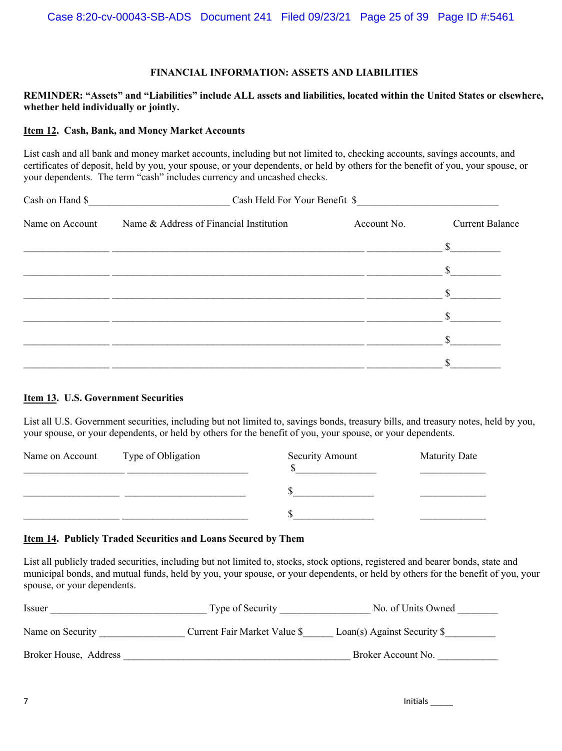#### **FINANCIAL INFORMATION: ASSETS AND LIABILITIES**

#### **REMINDER: "Assets" and "Liabilities" include ALL assets and liabilities, located within the United States or elsewhere, whether held individually or jointly.**

#### **Item 12. Cash, Bank, and Money Market Accounts**

List cash and all bank and money market accounts, including but not limited to, checking accounts, savings accounts, and certificates of deposit, held by you, your spouse, or your dependents, or held by others for the benefit of you, your spouse, or your dependents. The term "cash" includes currency and uncashed checks.

| Cash on Hand \$ | Cash Held For Your Benefit \$<br><u> 1980 - Jan Barbarat, martin d</u> |             |                        |  |  |  |  |
|-----------------|------------------------------------------------------------------------|-------------|------------------------|--|--|--|--|
| Name on Account | Name & Address of Financial Institution                                | Account No. | <b>Current Balance</b> |  |  |  |  |
|                 |                                                                        |             | $\mathbb{S}$           |  |  |  |  |
|                 |                                                                        |             | $\mathbb{S}$           |  |  |  |  |
|                 |                                                                        |             | $\mathbb{S}$           |  |  |  |  |
|                 |                                                                        |             |                        |  |  |  |  |
|                 |                                                                        |             |                        |  |  |  |  |
|                 |                                                                        |             |                        |  |  |  |  |

#### **Item 13. U.S. Government Securities**

List all U.S. Government securities, including but not limited to, savings bonds, treasury bills, and treasury notes, held by you, your spouse, or your dependents, or held by others for the benefit of you, your spouse, or your dependents.

| Name on Account | Type of Obligation | <b>Security Amount</b> | <b>Maturity Date</b> |
|-----------------|--------------------|------------------------|----------------------|
|                 |                    |                        |                      |
|                 |                    |                        |                      |

#### **Item 14. Publicly Traded Securities and Loans Secured by Them**

List all publicly traded securities, including but not limited to, stocks, stock options, registered and bearer bonds, state and municipal bonds, and mutual funds, held by you, your spouse, or your dependents, or held by others for the benefit of you, your spouse, or your dependents.

| <i>ssuer</i>          | Type of Security             | No. of Units Owned           |
|-----------------------|------------------------------|------------------------------|
| Name on Security      | Current Fair Market Value \$ | Loan(s) Against Security $\$ |
| Broker House, Address |                              | Broker Account No.           |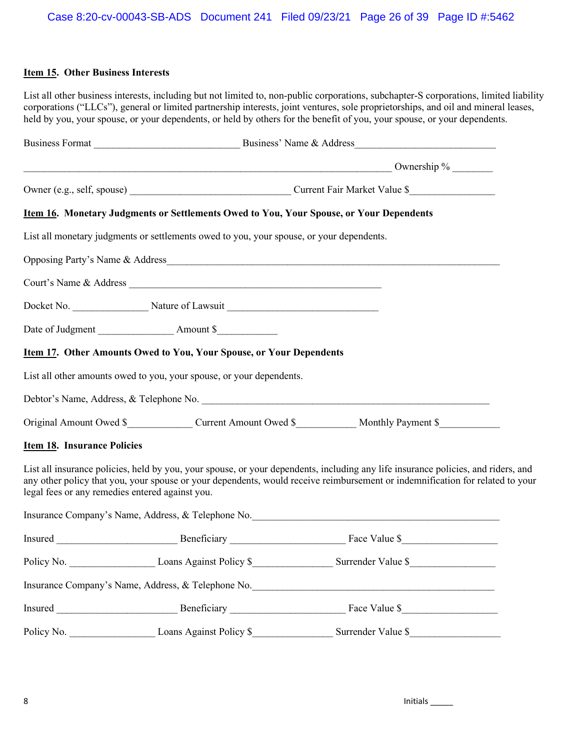#### **Item 15. Other Business Interests**

List all other business interests, including but not limited to, non-public corporations, subchapter-S corporations, limited liability corporations ("LLCs"), general or limited partnership interests, joint ventures, sole proprietorships, and oil and mineral leases, held by you, your spouse, or your dependents, or held by others for the benefit of you, your spouse, or your dependents.

|                                                 | <b>Item 16. Monetary Judgments or Settlements Owed to You, Your Spouse, or Your Dependents</b> |                                                                                                                                                                                                                                                                    |
|-------------------------------------------------|------------------------------------------------------------------------------------------------|--------------------------------------------------------------------------------------------------------------------------------------------------------------------------------------------------------------------------------------------------------------------|
|                                                 | List all monetary judgments or settlements owed to you, your spouse, or your dependents.       |                                                                                                                                                                                                                                                                    |
|                                                 |                                                                                                | Opposing Party's Name & Address                                                                                                                                                                                                                                    |
|                                                 |                                                                                                |                                                                                                                                                                                                                                                                    |
|                                                 |                                                                                                |                                                                                                                                                                                                                                                                    |
|                                                 |                                                                                                |                                                                                                                                                                                                                                                                    |
|                                                 | <b>Item 17. Other Amounts Owed to You, Your Spouse, or Your Dependents</b>                     |                                                                                                                                                                                                                                                                    |
|                                                 | List all other amounts owed to you, your spouse, or your dependents.                           |                                                                                                                                                                                                                                                                    |
|                                                 |                                                                                                |                                                                                                                                                                                                                                                                    |
|                                                 |                                                                                                | Original Amount Owed \$___________________Current Amount Owed \$___________________ Monthly Payment \$____________                                                                                                                                                 |
| <b>Item 18. Insurance Policies</b>              |                                                                                                |                                                                                                                                                                                                                                                                    |
| legal fees or any remedies entered against you. |                                                                                                | List all insurance policies, held by you, your spouse, or your dependents, including any life insurance policies, and riders, and<br>any other policy that you, your spouse or your dependents, would receive reimbursement or indemnification for related to your |
|                                                 |                                                                                                | Insurance Company's Name, Address, & Telephone No. 2008. [1] All the Company's Name, Address, & Telephone No. 2016.                                                                                                                                                |
|                                                 |                                                                                                |                                                                                                                                                                                                                                                                    |
|                                                 |                                                                                                |                                                                                                                                                                                                                                                                    |
|                                                 |                                                                                                | Insurance Company's Name, Address, & Telephone No. 2008. [1] All the Company's Name, Address, & Telephone No. 2016.                                                                                                                                                |
|                                                 |                                                                                                |                                                                                                                                                                                                                                                                    |
|                                                 |                                                                                                | Surrender Value \$                                                                                                                                                                                                                                                 |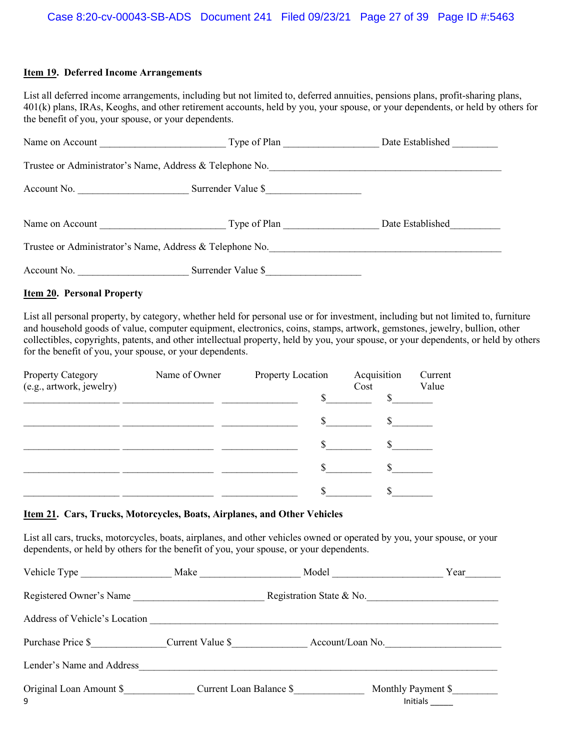#### **Item 19. Deferred Income Arrangements**

List all deferred income arrangements, including but not limited to, deferred annuities, pensions plans, profit-sharing plans, 401(k) plans, IRAs, Keoghs, and other retirement accounts, held by you, your spouse, or your dependents, or held by others for the benefit of you, your spouse, or your dependents.

| Name on Account | Type of Plan                                             | Date Established |
|-----------------|----------------------------------------------------------|------------------|
|                 | Trustee or Administrator's Name, Address & Telephone No. |                  |
| Account No.     | Surrender Value \$                                       |                  |
| Name on Account | Type of Plan                                             | Date Established |
|                 | Trustee or Administrator's Name, Address & Telephone No. |                  |
| Account No.     | Surrender Value \$                                       |                  |

#### **Item 20. Personal Property**

List all personal property, by category, whether held for personal use or for investment, including but not limited to, furniture and household goods of value, computer equipment, electronics, coins, stamps, artwork, gemstones, jewelry, bullion, other collectibles, copyrights, patents, and other intellectual property, held by you, your spouse, or your dependents, or held by others for the benefit of you, your spouse, or your dependents.

| Property Category<br>(e.g., artwork, jewelry) | Name of Owner | Property Location | Acquisition<br>Cost | Current<br>Value |
|-----------------------------------------------|---------------|-------------------|---------------------|------------------|
|                                               |               |                   |                     |                  |
|                                               |               | \$                |                     |                  |
|                                               |               |                   |                     |                  |
|                                               |               | ъ                 |                     |                  |
|                                               |               |                   |                     |                  |

#### **Item 21. Cars, Trucks, Motorcycles, Boats, Airplanes, and Other Vehicles**

List all cars, trucks, motorcycles, boats, airplanes, and other vehicles owned or operated by you, your spouse, or your dependents, or held by others for the benefit of you, your spouse, or your dependents.

| Vehicle Type                  | Make             | Model                   | Year                           |
|-------------------------------|------------------|-------------------------|--------------------------------|
| Registered Owner's Name       |                  |                         | Registration State & No.       |
| Address of Vehicle's Location |                  |                         |                                |
| Purchase Price \$             | Current Value \$ |                         | Account/Loan No.               |
| Lender's Name and Address     |                  |                         |                                |
| Original Loan Amount \$<br>9  |                  | Current Loan Balance \$ | Monthly Payment \$<br>Initials |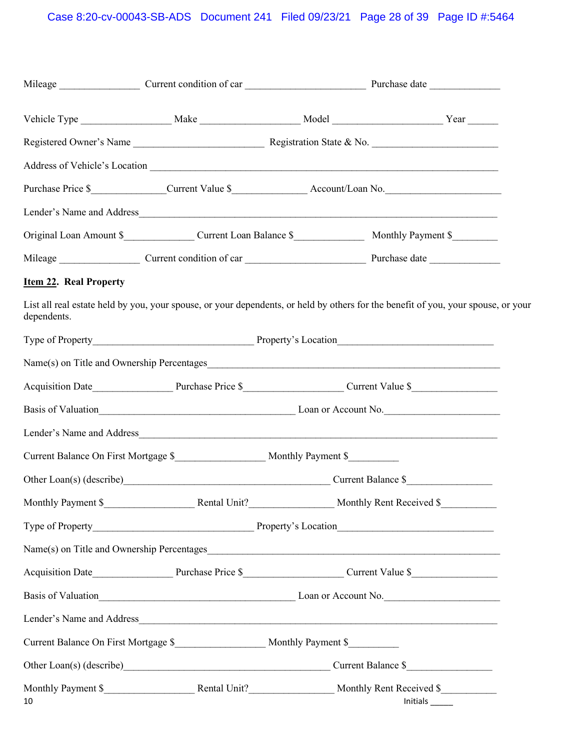| Item 22. Real Property |                                                                                              |  |                                                                                                                                                                                                                                    |
|------------------------|----------------------------------------------------------------------------------------------|--|------------------------------------------------------------------------------------------------------------------------------------------------------------------------------------------------------------------------------------|
| dependents.            |                                                                                              |  | List all real estate held by you, your spouse, or your dependents, or held by others for the benefit of you, your spouse, or your                                                                                                  |
|                        |                                                                                              |  |                                                                                                                                                                                                                                    |
|                        |                                                                                              |  |                                                                                                                                                                                                                                    |
|                        |                                                                                              |  | Acquisition Date <b>Mate Example 2 and 2 and 3 and 3 and 3 and 3 and 4 and 4 and 4 and 4 and 4 and 4 and 4 and 4 and 4 and 4 and 4 and 4 and 4 and 4 and 4 and 4 and 4 and 4 and 4 and 4 and 4 and 4 and 4 and 4 and 4 and 4 a</b> |
|                        |                                                                                              |  | Basis of Valuation example 2012 Loan or Account No.                                                                                                                                                                                |
|                        |                                                                                              |  |                                                                                                                                                                                                                                    |
|                        | Current Balance On First Mortgage \$_________________________ Monthly Payment \$____________ |  |                                                                                                                                                                                                                                    |
|                        | Other Loan(s) (describe) Current Balance \$                                                  |  |                                                                                                                                                                                                                                    |
|                        |                                                                                              |  |                                                                                                                                                                                                                                    |
|                        |                                                                                              |  |                                                                                                                                                                                                                                    |
|                        |                                                                                              |  |                                                                                                                                                                                                                                    |
|                        |                                                                                              |  | Acquisition Date <b>Mate Example 2 and 2 and 3 and 3 and 3 and 3 and 3 and 4 and 4 and 4 and 4 and 4 and 4 and 4 and 4 and 4 and 4 and 4 and 4 and 4 and 4 and 4 and 4 and 4 and 4 and 4 and 4 and 4 and 4 and 4 and 4 and 4 a</b> |
|                        |                                                                                              |  | Basis of Valuation<br><u>Example 2014</u> Loan or Account No.                                                                                                                                                                      |
|                        |                                                                                              |  |                                                                                                                                                                                                                                    |
|                        | Current Balance On First Mortgage \$_________________________ Monthly Payment \$___________  |  |                                                                                                                                                                                                                                    |
|                        |                                                                                              |  |                                                                                                                                                                                                                                    |
| 10                     |                                                                                              |  | $Initials$ <sub>______</sub>                                                                                                                                                                                                       |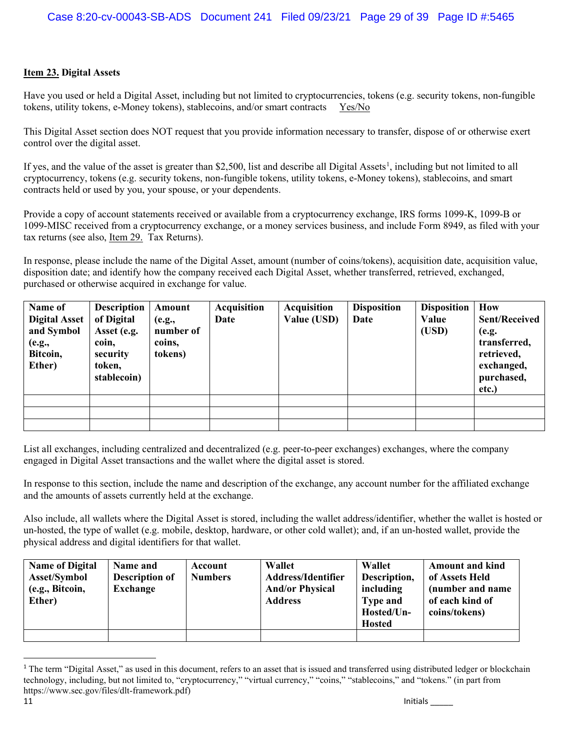#### **Item 23. Digital Assets**

Have you used or held a Digital Asset, including but not limited to cryptocurrencies, tokens (e.g. security tokens, non-fungible tokens, utility tokens, e-Money tokens), stablecoins, and/or smart contracts Yes/No

This Digital Asset section does NOT request that you provide information necessary to transfer, dispose of or otherwise exert control over the digital asset.

If yes, and the value of the asset is greater than \$2,500, list and describe all Digital Assets<sup>1</sup>, including but not limited to all cryptocurrency, tokens (e.g. security tokens, non-fungible tokens, utility tokens, e-Money tokens), stablecoins, and smart contracts held or used by you, your spouse, or your dependents.

Provide a copy of account statements received or available from a cryptocurrency exchange, IRS forms 1099-K, 1099-B or 1099-MISC received from a cryptocurrency exchange, or a money services business, and include Form 8949, as filed with your tax returns (see also, Item 29. Tax Returns).

In response, please include the name of the Digital Asset, amount (number of coins/tokens), acquisition date, acquisition value, disposition date; and identify how the company received each Digital Asset, whether transferred, retrieved, exchanged, purchased or otherwise acquired in exchange for value.

| Name of<br><b>Digital Asset</b><br>and Symbol | Description<br>of Digital<br>Asset (e.g. | Amount<br>(e.g.,<br>number of | <b>Acquisition</b><br>Date | <b>Acquisition</b><br>Value (USD) | <b>Disposition</b><br>Date | <b>Disposition</b><br>Value<br>(USD) | How<br><b>Sent/Received</b><br>(e.g.     |
|-----------------------------------------------|------------------------------------------|-------------------------------|----------------------------|-----------------------------------|----------------------------|--------------------------------------|------------------------------------------|
| (e.g.,<br>Bitcoin,<br>Ether)                  | coin,<br>security<br>token,              | coins,<br>tokens)             |                            |                                   |                            |                                      | transferred,<br>retrieved,<br>exchanged, |
|                                               | stablecoin)                              |                               |                            |                                   |                            |                                      | purchased,<br>etc.)                      |
|                                               |                                          |                               |                            |                                   |                            |                                      |                                          |
|                                               |                                          |                               |                            |                                   |                            |                                      |                                          |
|                                               |                                          |                               |                            |                                   |                            |                                      |                                          |

List all exchanges, including centralized and decentralized (e.g. peer-to-peer exchanges) exchanges, where the company engaged in Digital Asset transactions and the wallet where the digital asset is stored.

In response to this section, include the name and description of the exchange, any account number for the affiliated exchange and the amounts of assets currently held at the exchange.

Also include, all wallets where the Digital Asset is stored, including the wallet address/identifier, whether the wallet is hosted or un-hosted, the type of wallet (e.g. mobile, desktop, hardware, or other cold wallet); and, if an un-hosted wallet, provide the physical address and digital identifiers for that wallet.

| <b>Name of Digital</b><br><b>Asset/Symbol</b><br>(e.g., Bitcoin,<br>Ether) | Name and<br><b>Description of</b><br><b>Exchange</b> | Account<br><b>Numbers</b> | <b>Wallet</b><br><b>Address/Identifier</b><br><b>And/or Physical</b><br><b>Address</b> | <b>Wallet</b><br>Description,<br>including<br><b>Type and</b><br>Hosted/Un-<br><b>Hosted</b> | <b>Amount and kind</b><br>of Assets Held<br>(number and name)<br>of each kind of<br>coins/tokens) |
|----------------------------------------------------------------------------|------------------------------------------------------|---------------------------|----------------------------------------------------------------------------------------|----------------------------------------------------------------------------------------------|---------------------------------------------------------------------------------------------------|
|                                                                            |                                                      |                           |                                                                                        |                                                                                              |                                                                                                   |

<sup>&</sup>lt;sup>1</sup> The term "Digital Asset," as used in this document, refers to an asset that is issued and transferred using distributed ledger or blockchain technology, including, but not limited to, "cryptocurrency," "virtual currency," "coins," "stablecoins," and "tokens." (in part from https://www.sec.gov/files/dlt-framework.pdf)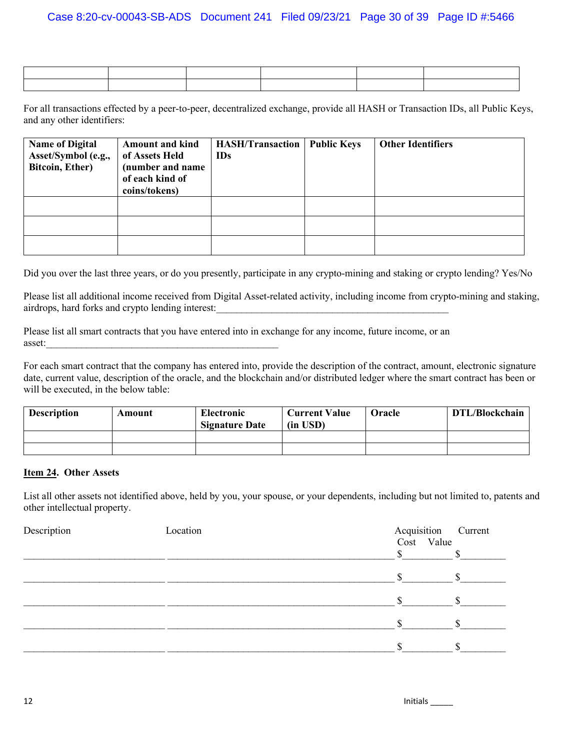For all transactions effected by a peer-to-peer, decentralized exchange, provide all HASH or Transaction IDs, all Public Keys, and any other identifiers:

| <b>Name of Digital</b><br>Asset/Symbol (e.g.,<br>Bitcoin, Ether) | <b>Amount and kind</b><br>of Assets Held<br>(number and name)<br>of each kind of<br>coins/tokens) | <b>HASH/Transaction</b><br><b>IDs</b> | <b>Public Keys</b> | <b>Other Identifiers</b> |
|------------------------------------------------------------------|---------------------------------------------------------------------------------------------------|---------------------------------------|--------------------|--------------------------|
|                                                                  |                                                                                                   |                                       |                    |                          |
|                                                                  |                                                                                                   |                                       |                    |                          |
|                                                                  |                                                                                                   |                                       |                    |                          |

Did you over the last three years, or do you presently, participate in any crypto-mining and staking or crypto lending? Yes/No

Please list all additional income received from Digital Asset-related activity, including income from crypto-mining and staking, airdrops, hard forks and crypto lending interest:

Please list all smart contracts that you have entered into in exchange for any income, future income, or an asset:

For each smart contract that the company has entered into, provide the description of the contract, amount, electronic signature date, current value, description of the oracle, and the blockchain and/or distributed ledger where the smart contract has been or will be executed, in the below table:

| <b>Description</b> | Amount | Electronic<br><b>Signature Date</b> | <b>Current Value</b><br>$(in$ USD $)$ | <b>Oracle</b> | DTL/Blockchain |
|--------------------|--------|-------------------------------------|---------------------------------------|---------------|----------------|
|                    |        |                                     |                                       |               |                |
|                    |        |                                     |                                       |               |                |

#### **Item 24. Other Assets**

List all other assets not identified above, held by you, your spouse, or your dependents, including but not limited to, patents and other intellectual property.

| Description | Location | Acquisition Current<br>Cost Value |  |
|-------------|----------|-----------------------------------|--|
|             |          |                                   |  |
|             |          |                                   |  |
|             |          |                                   |  |
|             |          |                                   |  |
|             |          |                                   |  |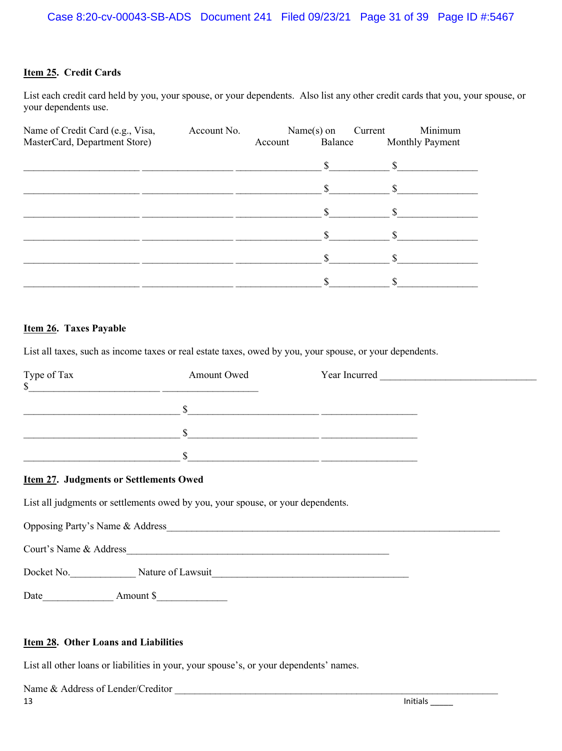#### **Item 25. Credit Cards**

List each credit card held by you, your spouse, or your dependents. Also list any other credit cards that you, your spouse, or your dependents use.

| Name of Credit Card (e.g., Visa,<br>MasterCard, Department Store) | Account No. | Account | $Name(s)$ on<br>Balance | Minimum<br>Current<br>Monthly Payment |
|-------------------------------------------------------------------|-------------|---------|-------------------------|---------------------------------------|
|                                                                   |             |         |                         |                                       |
|                                                                   |             |         | \$.                     |                                       |
|                                                                   |             |         |                         |                                       |
|                                                                   |             |         |                         |                                       |
|                                                                   |             |         |                         |                                       |
|                                                                   |             |         |                         |                                       |

#### **Item 26. Taxes Payable**

List all taxes, such as income taxes or real estate taxes, owed by you, your spouse, or your dependents.

| Type of Tax<br>\$ | Amount Owed | Year Incurred |  |
|-------------------|-------------|---------------|--|
|                   |             |               |  |
|                   |             |               |  |
|                   |             |               |  |

#### **Item 27. Judgments or Settlements Owed**

List all judgments or settlements owed by you, your spouse, or your dependents.

| Opposing Party's Name & Address |                   |
|---------------------------------|-------------------|
| Court's Name & Address          |                   |
| Docket No.                      | Nature of Lawsuit |

Date Amount \$

#### **Item 28. Other Loans and Liabilities**

List all other loans or liabilities in your, your spouse's, or your dependents' names.

| Name $\&$<br>Lender/Creditor<br>Address of |       |
|--------------------------------------------|-------|
| 13                                         | tals. |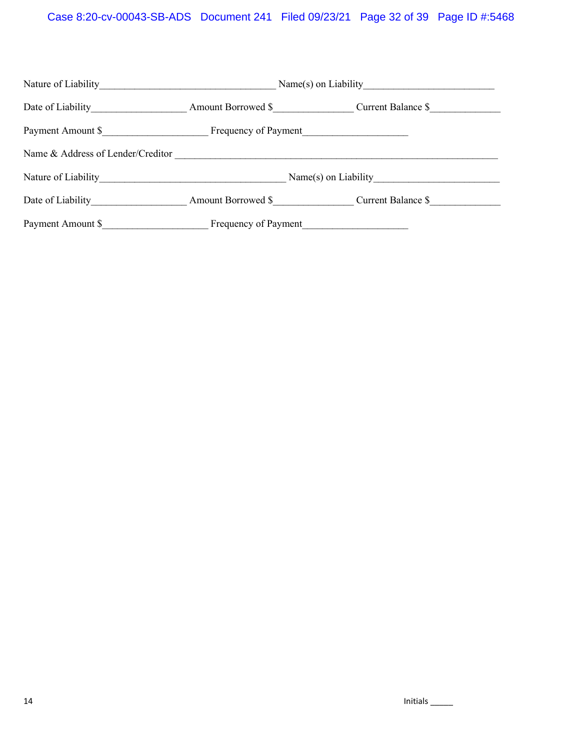## Case 8:20-cv-00043-SB-ADS Document 241 Filed 09/23/21 Page 32 of 39 Page ID #:5468

| Date of Liability                 | Amount Borrowed \$   |  | Current Balance \$                    |  |
|-----------------------------------|----------------------|--|---------------------------------------|--|
| Payment Amount \$                 |                      |  |                                       |  |
| Name & Address of Lender/Creditor |                      |  |                                       |  |
|                                   |                      |  | $Name(s)$ on Liability                |  |
| Date of Liability                 |                      |  | Amount Borrowed \$ Current Balance \$ |  |
| Payment Amount \$                 | Frequency of Payment |  |                                       |  |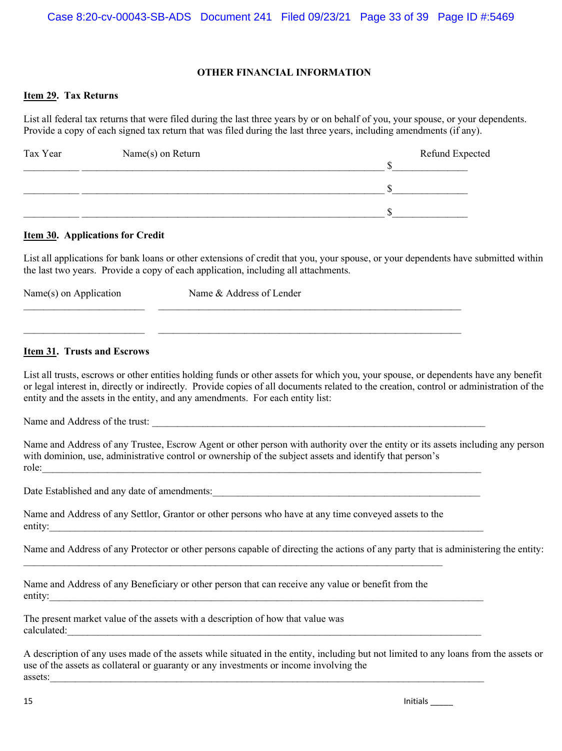#### **OTHER FINANCIAL INFORMATION**

#### **Item 29. Tax Returns**

List all federal tax returns that were filed during the last three years by or on behalf of you, your spouse, or your dependents. Provide a copy of each signed tax return that was filed during the last three years, including amendments (if any).

| Tax Year | Name(s) on Return | Refund Expected |
|----------|-------------------|-----------------|
|          |                   |                 |
|          |                   |                 |
|          |                   |                 |

#### **Item 30. Applications for Credit**

List all applications for bank loans or other extensions of credit that you, your spouse, or your dependents have submitted within the last two years. Provide a copy of each application, including all attachments.

| Name(s) on Application | Name & Address of Lender |  |
|------------------------|--------------------------|--|
|                        |                          |  |
|                        |                          |  |

#### **Item 31. Trusts and Escrows**

List all trusts, escrows or other entities holding funds or other assets for which you, your spouse, or dependents have any benefit or legal interest in, directly or indirectly. Provide copies of all documents related to the creation, control or administration of the entity and the assets in the entity, and any amendments. For each entity list:

Name and Address of the trust:

Name and Address of any Trustee, Escrow Agent or other person with authority over the entity or its assets including any person with dominion, use, administrative control or ownership of the subject assets and identify that person's role:

Date Established and any date of amendments:\_\_\_\_\_\_\_\_\_\_\_\_\_\_\_\_\_\_\_\_\_\_\_\_\_\_\_\_\_\_\_\_\_\_\_\_\_\_\_\_\_\_\_\_\_\_\_\_\_\_\_\_\_

| Name and Address of any Settlor, Grantor or other persons who have at any time conveyed assets to the |  |
|-------------------------------------------------------------------------------------------------------|--|
| entity:                                                                                               |  |

 $\_$  , and the contribution of the contribution of the contribution of the contribution of  $\mathcal{L}_\text{max}$ 

Name and Address of any Protector or other persons capable of directing the actions of any party that is administering the entity:

Name and Address of any Beneficiary or other person that can receive any value or benefit from the entity:

The present market value of the assets with a description of how that value was  $\text{calculated:}$ 

A description of any uses made of the assets while situated in the entity, including but not limited to any loans from the assets or use of the assets as collateral or guaranty or any investments or income involving the assets: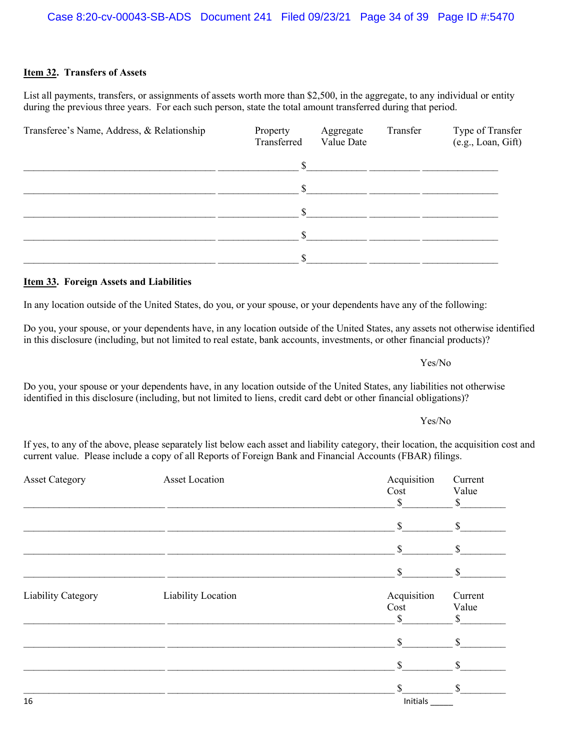| Case 8:20-cv-00043-SB-ADS Document 241 Filed 09/23/21 Page 34 of 39 Page ID #:5470 |  |  |  |  |
|------------------------------------------------------------------------------------|--|--|--|--|
|------------------------------------------------------------------------------------|--|--|--|--|

## **Item 32. Transfers of Assets**

List all payments, transfers, or assignments of assets worth more than \$2,500, in the aggregate, to any individual or entity during the previous three years. For each such person, state the total amount transferred during that period.

| Transferee's Name, Address, & Relationship | Property<br>Transferred | Aggregate<br>Value Date | Transfer | Type of Transfer<br>(e.g., Loan, Gift) |
|--------------------------------------------|-------------------------|-------------------------|----------|----------------------------------------|
|                                            | <sup>\$</sup>           |                         |          |                                        |
|                                            | \$                      |                         |          |                                        |
|                                            | \$                      |                         |          |                                        |
|                                            | \$                      |                         |          |                                        |
|                                            | \$                      |                         |          |                                        |

## **Item 33. Foreign Assets and Liabilities**

In any location outside of the United States, do you, or your spouse, or your dependents have any of the following:

Do you, your spouse, or your dependents have, in any location outside of the United States, any assets not otherwise identified in this disclosure (including, but not limited to real estate, bank accounts, investments, or other financial products)?

Do you, your spouse or your dependents have, in any location outside of the United States, any liabilities not otherwise identified in this disclosure (including, but not limited to liens, credit card debt or other financial obligations)?

If yes, to any of the above, please separately list below each asset and liability category, their location, the acquisition cost and current value. Please include a copy of all Reports of Foreign Bank and Financial Accounts (FBAR) filings.

| <b>Asset Category</b> | <b>Asset Location</b>     | Acquisition<br>Cost<br>$\mathcal{S}$ | Current<br>Value<br>$\mathbb{S}$ |
|-----------------------|---------------------------|--------------------------------------|----------------------------------|
|                       |                           | $\mathcal{S}$                        | $\mathbb{S}$                     |
|                       |                           | $\mathbb{S}$                         | \$                               |
|                       |                           | $\mathbb{S}$                         | <sup>\$</sup>                    |
| Liability Category    | <b>Liability Location</b> | Acquisition<br>Cost<br>\$            | Current<br>Value<br>\$.          |
|                       |                           | \$                                   | $\mathbb{S}$                     |
|                       |                           | \$                                   |                                  |
| 16                    |                           | \$<br>Initials                       | $\mathcal{S}$                    |

## Yes/No

Yes/No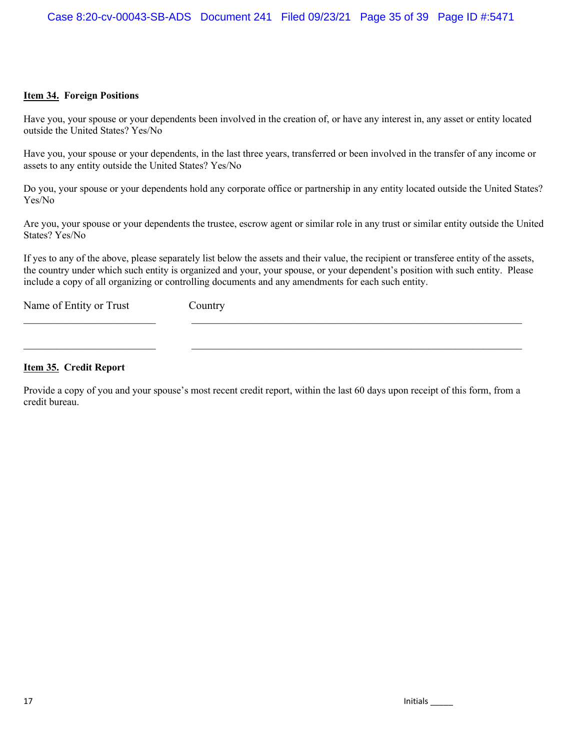#### **Item 34. Foreign Positions**

Have you, your spouse or your dependents been involved in the creation of, or have any interest in, any asset or entity located outside the United States? Yes/No

Have you, your spouse or your dependents, in the last three years, transferred or been involved in the transfer of any income or assets to any entity outside the United States? Yes/No

Do you, your spouse or your dependents hold any corporate office or partnership in any entity located outside the United States? Yes/No

Are you, your spouse or your dependents the trustee, escrow agent or similar role in any trust or similar entity outside the United States? Yes/No

If yes to any of the above, please separately list below the assets and their value, the recipient or transferee entity of the assets, the country under which such entity is organized and your, your spouse, or your dependent's position with such entity. Please include a copy of all organizing or controlling documents and any amendments for each such entity.

Name of Entity or Trust Country

#### **Item 35. Credit Report**

Provide a copy of you and your spouse's most recent credit report, within the last 60 days upon receipt of this form, from a credit bureau.

 $\_$ 

 $\_$  , and the set of the set of the set of the set of the set of the set of the set of the set of the set of the set of the set of the set of the set of the set of the set of the set of the set of the set of the set of th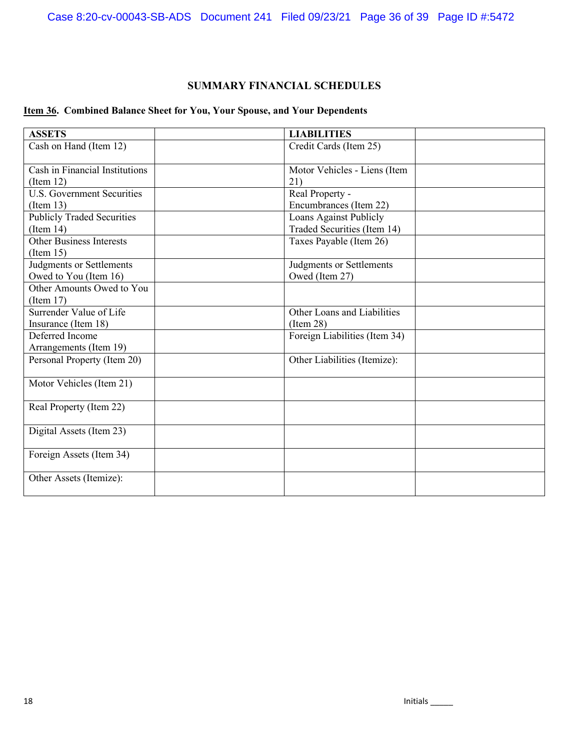## **SUMMARY FINANCIAL SCHEDULES**

## **Item 36. Combined Balance Sheet for You, Your Spouse, and Your Dependents**

| <b>ASSETS</b>                     | <b>LIABILITIES</b>            |
|-----------------------------------|-------------------------------|
| Cash on Hand (Item 12)            | Credit Cards (Item 25)        |
| Cash in Financial Institutions    | Motor Vehicles - Liens (Item  |
| (Item 12)                         | 21)                           |
| <b>U.S. Government Securities</b> | Real Property -               |
| (Item 13)                         | Encumbrances (Item 22)        |
| <b>Publicly Traded Securities</b> | Loans Against Publicly        |
| (Item 14)                         | Traded Securities (Item 14)   |
| <b>Other Business Interests</b>   | Taxes Payable (Item 26)       |
| (Item 15)                         |                               |
| Judgments or Settlements          | Judgments or Settlements      |
| Owed to You (Item 16)             | Owed (Item 27)                |
| Other Amounts Owed to You         |                               |
| (Item 17)                         |                               |
| Surrender Value of Life           | Other Loans and Liabilities   |
| Insurance (Item 18)               | (Item 28)                     |
| Deferred Income                   | Foreign Liabilities (Item 34) |
| Arrangements (Item 19)            |                               |
| Personal Property (Item 20)       | Other Liabilities (Itemize):  |
| Motor Vehicles (Item 21)          |                               |
| Real Property (Item 22)           |                               |
| Digital Assets (Item 23)          |                               |
| Foreign Assets (Item 34)          |                               |
| Other Assets (Itemize):           |                               |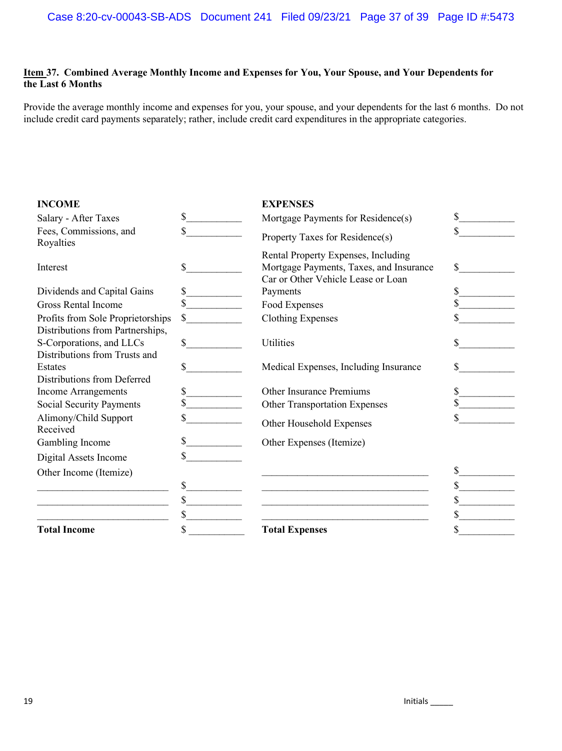#### **Item 37. Combined Average Monthly Income and Expenses for You, Your Spouse, and Your Dependents for the Last 6 Months**

Provide the average monthly income and expenses for you, your spouse, and your dependents for the last 6 months. Do not include credit card payments separately; rather, include credit card expenditures in the appropriate categories.

| <b>INCOME</b>                       |              | <b>EXPENSES</b>                                                                                                      |    |
|-------------------------------------|--------------|----------------------------------------------------------------------------------------------------------------------|----|
| Salary - After Taxes                | \$           | Mortgage Payments for Residence(s)                                                                                   | \$ |
| Fees, Commissions, and<br>Royalties | \$           | Property Taxes for Residence(s)                                                                                      | \$ |
| Interest                            | \$           | Rental Property Expenses, Including<br>Mortgage Payments, Taxes, and Insurance<br>Car or Other Vehicle Lease or Loan | \$ |
| Dividends and Capital Gains         |              | Payments                                                                                                             | \$ |
| <b>Gross Rental Income</b>          |              | Food Expenses                                                                                                        |    |
| Profits from Sole Proprietorships   | $\mathbb{S}$ | <b>Clothing Expenses</b>                                                                                             |    |
| Distributions from Partnerships,    |              |                                                                                                                      |    |
| S-Corporations, and LLCs            | \$           | Utilities                                                                                                            |    |
| Distributions from Trusts and       |              |                                                                                                                      |    |
| Estates                             | \$           | Medical Expenses, Including Insurance                                                                                | \$ |
| Distributions from Deferred         |              |                                                                                                                      |    |
| <b>Income Arrangements</b>          | \$           | <b>Other Insurance Premiums</b>                                                                                      | \$ |
| <b>Social Security Payments</b>     |              | <b>Other Transportation Expenses</b>                                                                                 |    |
| Alimony/Child Support<br>Received   | S            | Other Household Expenses                                                                                             |    |
| Gambling Income                     |              | Other Expenses (Itemize)                                                                                             |    |
| Digital Assets Income               |              |                                                                                                                      |    |
| Other Income (Itemize)              |              |                                                                                                                      | \$ |
|                                     | \$           |                                                                                                                      |    |
|                                     | \$           |                                                                                                                      |    |
|                                     | \$           |                                                                                                                      |    |
| <b>Total Income</b>                 | \$           | <b>Total Expenses</b>                                                                                                |    |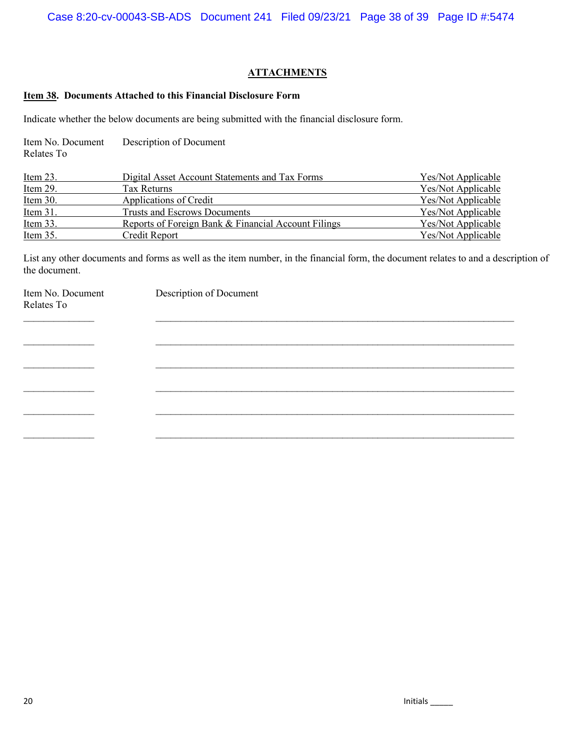#### **ATTACHMENTS**

#### **Item 38. Documents Attached to this Financial Disclosure Form**

Indicate whether the below documents are being submitted with the financial disclosure form.

| Item No. Document | Description of Document |
|-------------------|-------------------------|
| Relates To        |                         |

| Item 23.    | Digital Asset Account Statements and Tax Forms      | Yes/Not Applicable |
|-------------|-----------------------------------------------------|--------------------|
| Item 29.    | Tax Returns                                         | Yes/Not Applicable |
| Item 30.    | Applications of Credit                              | Yes/Not Applicable |
| Item $31$ . | Trusts and Escrows Documents                        | Yes/Not Applicable |
| Item 33.    | Reports of Foreign Bank & Financial Account Filings | Yes/Not Applicable |
| Item 35.    | Credit Report                                       | Yes/Not Applicable |

List any other documents and forms as well as the item number, in the financial form, the document relates to and a description of the document.

| Item No. Document<br>Relates To | Description of Document |
|---------------------------------|-------------------------|
|                                 |                         |
|                                 |                         |
|                                 |                         |
|                                 |                         |